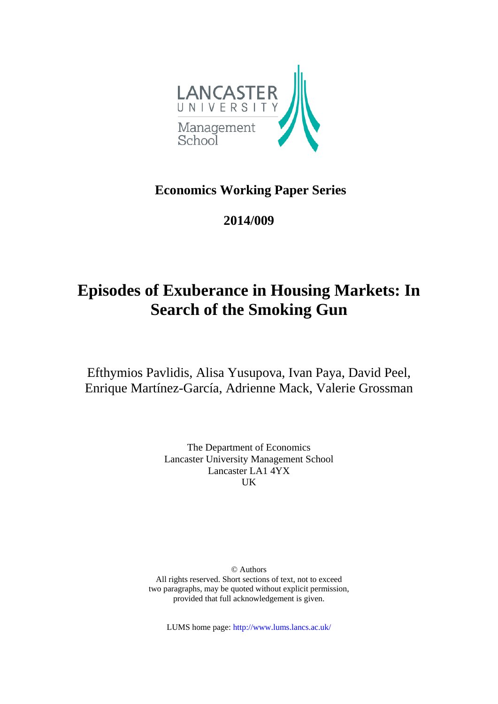

**Economics Working Paper Series**

**2014/009**

# **Episodes of Exuberance in Housing Markets: In Search of the Smoking Gun**

Efthymios Pavlidis, Alisa Yusupova, Ivan Paya, David Peel, Enrique Martínez-García, Adrienne Mack, Valerie Grossman

> The Department of Economics Lancaster University Management School Lancaster LA1 4YX UK

© Authors All rights reserved. Short sections of text, not to exceed two paragraphs, may be quoted without explicit permission, provided that full acknowledgement is given.

LUMS home page: http://www.lums.lancs.ac.uk/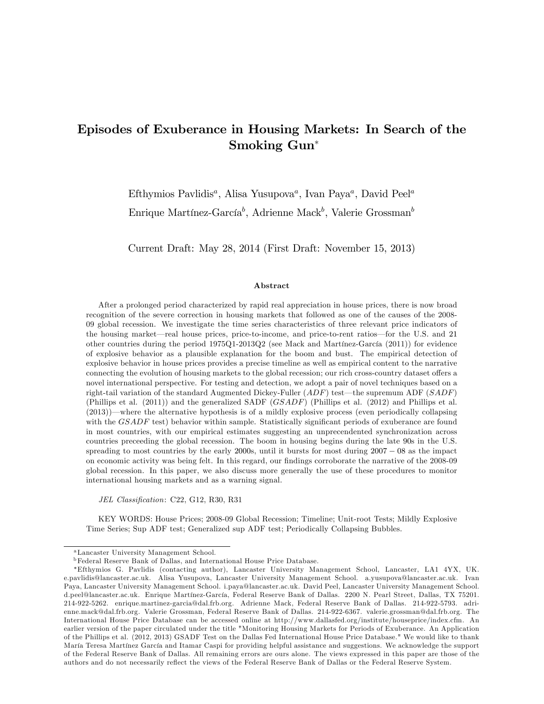# Episodes of Exuberance in Housing Markets: In Search of the Smoking Gun

Efthymios Pavlidis<sup>a</sup>, Alisa Yusupova<sup>a</sup>, Ivan Paya<sup>a</sup>, David Peel<sup>a</sup>

Enrique Martínez-García<sup>b</sup>, Adrienne Mack<sup>b</sup>, Valerie Grossman<sup>b</sup>

Current Draft: May 28, 2014 (First Draft: November 15, 2013)

#### Abstract

After a prolonged period characterized by rapid real appreciation in house prices, there is now broad recognition of the severe correction in housing markets that followed as one of the causes of the 2008- 09 global recession. We investigate the time series characteristics of three relevant price indicators of the housing market—real house prices, price-to-income, and price-to-rent ratios—for the U.S. and 21 other countries during the period  $1975Q1-2013Q2$  (see Mack and Martinez-García (2011)) for evidence of explosive behavior as a plausible explanation for the boom and bust. The empirical detection of explosive behavior in house prices provides a precise timeline as well as empirical content to the narrative connecting the evolution of housing markets to the global recession; our rich cross-country dataset offers a novel international perspective. For testing and detection, we adopt a pair of novel techniques based on a right-tail variation of the standard Augmented Dickey-Fuller  $(ADF)$  test—the supremum ADF  $(SADF)$ (Phillips et al. (2011)) and the generalized SADF (GSADF) (Phillips et al. (2012) and Phillips et al.  $(2013)$ —where the alternative hypothesis is of a mildly explosive process (even periodically collapsing with the  $GSADE$  test) behavior within sample. Statistically significant periods of exuberance are found in most countries, with our empirical estimates suggesting an unprecendented synchronization across countries preceeding the global recession. The boom in housing begins during the late 90s in the U.S. spreading to most countries by the early  $2000s$ , until it bursts for most during  $2007 - 08$  as the impact on economic activity was being felt. In this regard, our findings corroborate the narrative of the 2008-09 global recession. In this paper, we also discuss more generally the use of these procedures to monitor international housing markets and as a warning signal.

JEL Classification: C22, G12, R30, R31

KEY WORDS: House Prices; 2008-09 Global Recession; Timeline; Unit-root Tests; Mildly Explosive Time Series; Sup ADF test; Generalized sup ADF test; Periodically Collapsing Bubbles.

<sup>a</sup>Lancaster University Management School.

<sup>b</sup>Federal Reserve Bank of Dallas, and International House Price Database.

Efthymios G. Pavlidis (contacting author), Lancaster University Management School, Lancaster, LA1 4YX, UK. e.pavlidis@lancaster.ac.uk. Alisa Yusupova, Lancaster University Management School. a.yusupova@lancaster.ac.uk. Ivan Paya, Lancaster University Management School. i.paya@lancaster.ac.uk. David Peel, Lancaster University Management School. d.peel@lancaster.ac.uk. Enrique Martínez-García, Federal Reserve Bank of Dallas. 2200 N. Pearl Street, Dallas, TX 75201. 214-922-5262. enrique.martinez-garcia@dal.frb.org. Adrienne Mack, Federal Reserve Bank of Dallas. 214-922-5793. adrienne.mack@dal.frb.org. Valerie Grossman, Federal Reserve Bank of Dallas. 214-922-6367. valerie.grossman@dal.frb.org. The International House Price Database can be accessed online at http://www.dallasfed.org/institute/houseprice/index.cfm. An earlier version of the paper circulated under the title "Monitoring Housing Markets for Periods of Exuberance. An Application of the Phillips et al. (2012, 2013) GSADF Test on the Dallas Fed International House Price Database." We would like to thank MarÌa Teresa MartÌnez GarcÌa and Itamar Caspi for providing helpful assistance and suggestions. We acknowledge the support of the Federal Reserve Bank of Dallas. All remaining errors are ours alone. The views expressed in this paper are those of the authors and do not necessarily reflect the views of the Federal Reserve Bank of Dallas or the Federal Reserve System.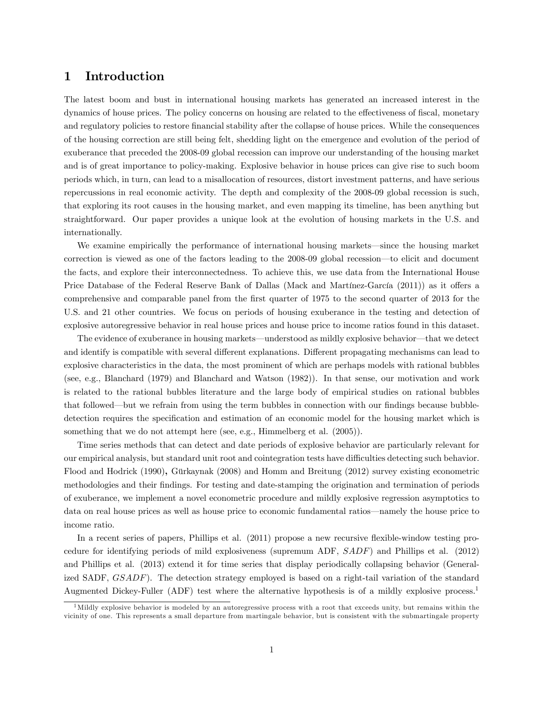### 1 Introduction

The latest boom and bust in international housing markets has generated an increased interest in the dynamics of house prices. The policy concerns on housing are related to the effectiveness of fiscal, monetary and regulatory policies to restore financial stability after the collapse of house prices. While the consequences of the housing correction are still being felt, shedding light on the emergence and evolution of the period of exuberance that preceded the 2008-09 global recession can improve our understanding of the housing market and is of great importance to policy-making. Explosive behavior in house prices can give rise to such boom periods which, in turn, can lead to a misallocation of resources, distort investment patterns, and have serious repercussions in real economic activity. The depth and complexity of the 2008-09 global recession is such, that exploring its root causes in the housing market, and even mapping its timeline, has been anything but straightforward. Our paper provides a unique look at the evolution of housing markets in the U.S. and internationally.

We examine empirically the performance of international housing markets—since the housing market correction is viewed as one of the factors leading to the 2008-09 global recession—to elicit and document the facts, and explore their interconnectedness. To achieve this, we use data from the International House Price Database of the Federal Reserve Bank of Dallas (Mack and Martínez-García (2011)) as it offers a comprehensive and comparable panel from the first quarter of 1975 to the second quarter of 2013 for the U.S. and 21 other countries. We focus on periods of housing exuberance in the testing and detection of explosive autoregressive behavior in real house prices and house price to income ratios found in this dataset.

The evidence of exuberance in housing markets—understood as mildly explosive behavior—that we detect and identify is compatible with several different explanations. Different propagating mechanisms can lead to explosive characteristics in the data, the most prominent of which are perhaps models with rational bubbles (see, e.g., Blanchard (1979) and Blanchard and Watson (1982)). In that sense, our motivation and work is related to the rational bubbles literature and the large body of empirical studies on rational bubbles that followed—but we refrain from using the term bubbles in connection with our findings because bubbledetection requires the specification and estimation of an economic model for the housing market which is something that we do not attempt here (see, e.g., Himmelberg et al.  $(2005)$ ).

Time series methods that can detect and date periods of explosive behavior are particularly relevant for our empirical analysis, but standard unit root and cointegration tests have difficulties detecting such behavior. Flood and Hodrick (1990), Gürkaynak (2008) and Homm and Breitung (2012) survey existing econometric methodologies and their Öndings. For testing and date-stamping the origination and termination of periods of exuberance, we implement a novel econometric procedure and mildly explosive regression asymptotics to data on real house prices as well as house price to economic fundamental ratios—namely the house price to income ratio.

In a recent series of papers, Phillips et al. (2011) propose a new recursive flexible-window testing procedure for identifying periods of mild explosiveness (supremum ADF, SADF) and Phillips et al. (2012) and Phillips et al. (2013) extend it for time series that display periodically collapsing behavior (Generalized SADF, GSADF). The detection strategy employed is based on a right-tail variation of the standard Augmented Dickey-Fuller (ADF) test where the alternative hypothesis is of a mildly explosive process.<sup>1</sup>

 $1<sup>1</sup>$  Mildly explosive behavior is modeled by an autoregressive process with a root that exceeds unity, but remains within the vicinity of one. This represents a small departure from martingale behavior, but is consistent with the submartingale property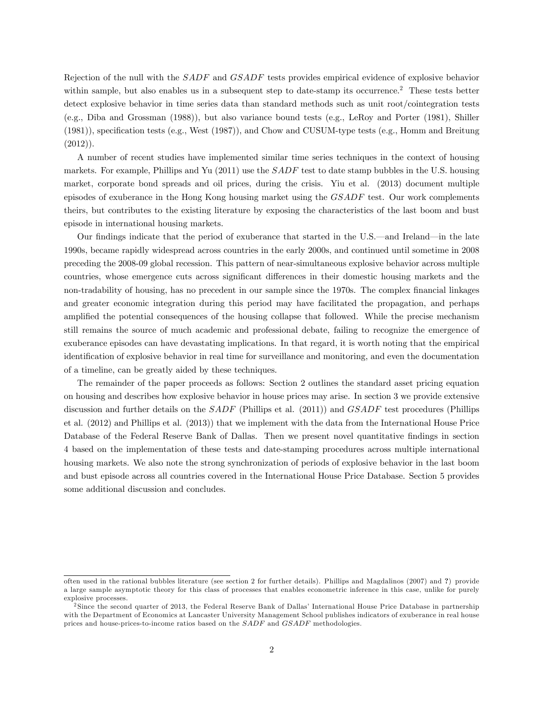Rejection of the null with the SADF and GSADF tests provides empirical evidence of explosive behavior within sample, but also enables us in a subsequent step to date-stamp its occurrence.<sup>2</sup> These tests better detect explosive behavior in time series data than standard methods such as unit root/cointegration tests (e.g., Diba and Grossman (1988)), but also variance bound tests (e.g., LeRoy and Porter (1981), Shiller (1981)), speciÖcation tests (e.g., West (1987)), and Chow and CUSUM-type tests (e.g., Homm and Breitung  $(2012)$ ).

A number of recent studies have implemented similar time series techniques in the context of housing markets. For example, Phillips and Yu  $(2011)$  use the  $SADE$  test to date stamp bubbles in the U.S. housing market, corporate bond spreads and oil prices, during the crisis. Yiu et al. (2013) document multiple episodes of exuberance in the Hong Kong housing market using the GSADF test. Our work complements theirs, but contributes to the existing literature by exposing the characteristics of the last boom and bust episode in international housing markets.

Our findings indicate that the period of exuberance that started in the U.S.—and Ireland—in the late 1990s, became rapidly widespread across countries in the early 2000s, and continued until sometime in 2008 preceding the 2008-09 global recession. This pattern of near-simultaneous explosive behavior across multiple countries, whose emergence cuts across significant differences in their domestic housing markets and the non-tradability of housing, has no precedent in our sample since the 1970s. The complex financial linkages and greater economic integration during this period may have facilitated the propagation, and perhaps amplified the potential consequences of the housing collapse that followed. While the precise mechanism still remains the source of much academic and professional debate, failing to recognize the emergence of exuberance episodes can have devastating implications. In that regard, it is worth noting that the empirical identification of explosive behavior in real time for surveillance and monitoring, and even the documentation of a timeline, can be greatly aided by these techniques.

The remainder of the paper proceeds as follows: Section 2 outlines the standard asset pricing equation on housing and describes how explosive behavior in house prices may arise. In section 3 we provide extensive discussion and further details on the SADF (Phillips et al. (2011)) and GSADF test procedures (Phillips et al. (2012) and Phillips et al. (2013)) that we implement with the data from the International House Price Database of the Federal Reserve Bank of Dallas. Then we present novel quantitative findings in section 4 based on the implementation of these tests and date-stamping procedures across multiple international housing markets. We also note the strong synchronization of periods of explosive behavior in the last boom and bust episode across all countries covered in the International House Price Database. Section 5 provides some additional discussion and concludes.

often used in the rational bubbles literature (see section 2 for further details). Phillips and Magdalinos (2007) and ?) provide a large sample asymptotic theory for this class of processes that enables econometric inference in this case, unlike for purely explosive processes.

<sup>&</sup>lt;sup>2</sup> Since the second quarter of 2013, the Federal Reserve Bank of Dallas' International House Price Database in partnership with the Department of Economics at Lancaster University Management School publishes indicators of exuberance in real house prices and house-prices-to-income ratios based on the SADF and GSADF methodologies.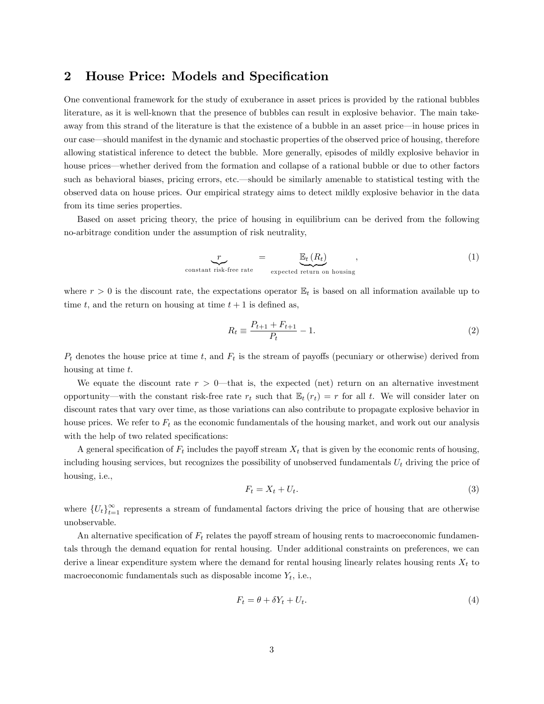# 2 House Price: Models and Specification

One conventional framework for the study of exuberance in asset prices is provided by the rational bubbles literature, as it is well-known that the presence of bubbles can result in explosive behavior. The main takeaway from this strand of the literature is that the existence of a bubble in an asset price—in house prices in our case—should manifest in the dynamic and stochastic properties of the observed price of housing, therefore allowing statistical inference to detect the bubble. More generally, episodes of mildly explosive behavior in house prices—whether derived from the formation and collapse of a rational bubble or due to other factors such as behavioral biases, pricing errors, etc.—should be similarly amenable to statistical testing with the observed data on house prices. Our empirical strategy aims to detect mildly explosive behavior in the data from its time series properties.

Based on asset pricing theory, the price of housing in equilibrium can be derived from the following no-arbitrage condition under the assumption of risk neutrality,

$$
\underbrace{r}_{\text{constant risk-free rate}} = \underbrace{\mathbb{E}_t(R_t)}_{\text{expected return on housing}}, \qquad (1)
$$

where  $r > 0$  is the discount rate, the expectations operator  $\mathbb{E}_t$  is based on all information available up to time t, and the return on housing at time  $t + 1$  is defined as,

$$
R_t \equiv \frac{P_{t+1} + F_{t+1}}{P_t} - 1.
$$
\n(2)

 $P_t$  denotes the house price at time t, and  $F_t$  is the stream of payoffs (pecuniary or otherwise) derived from housing at time t.

We equate the discount rate  $r > 0$ —that is, the expected (net) return on an alternative investment opportunity—with the constant risk-free rate  $r_t$  such that  $\mathbb{E}_t(r_t) = r$  for all t. We will consider later on discount rates that vary over time, as those variations can also contribute to propagate explosive behavior in house prices. We refer to  $F_t$  as the economic fundamentals of the housing market, and work out our analysis with the help of two related specifications:

A general specification of  $F_t$  includes the payoff stream  $X_t$  that is given by the economic rents of housing, including housing services, but recognizes the possibility of unobserved fundamentals  $U_t$  driving the price of housing, i.e.,

$$
F_t = X_t + U_t. \tag{3}
$$

where  $\{U_t\}_{t=1}^{\infty}$  represents a stream of fundamental factors driving the price of housing that are otherwise unobservable.

An alternative specification of  $F_t$  relates the payoff stream of housing rents to macroeconomic fundamentals through the demand equation for rental housing. Under additional constraints on preferences, we can derive a linear expenditure system where the demand for rental housing linearly relates housing rents  $X_t$  to macroeconomic fundamentals such as disposable income  $Y_t$ , i.e.,

$$
F_t = \theta + \delta Y_t + U_t. \tag{4}
$$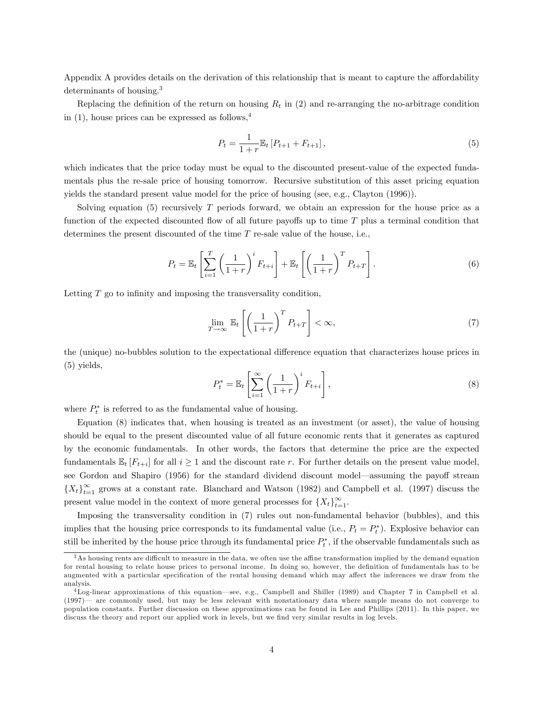Appendix A provides details on the derivation of this relationship that is meant to capture the affordability determinants of housing.<sup>3</sup>

Replacing the definition of the return on housing  $R_t$  in (2) and re-arranging the no-arbitrage condition in  $(1)$ , house prices can be expressed as follows,<sup>4</sup>

$$
P_t = \frac{1}{1+r} \mathbb{E}_t \left[ P_{t+1} + F_{t+1} \right],\tag{5}
$$

which indicates that the price today must be equal to the discounted present-value of the expected fundamentals plus the re-sale price of housing tomorrow. Recursive substitution of this asset pricing equation yields the standard present value model for the price of housing (see, e.g., Clayton (1996)).

Solving equation (5) recursively T periods forward, we obtain an expression for the house price as a function of the expected discounted flow of all future payoffs up to time  $T$  plus a terminal condition that determines the present discounted of the time  $T$  re-sale value of the house, i.e.,

$$
P_t = \mathbb{E}_t \left[ \sum_{i=1}^T \left( \frac{1}{1+r} \right)^i F_{t+i} \right] + \mathbb{E}_t \left[ \left( \frac{1}{1+r} \right)^T P_{t+T} \right]. \tag{6}
$$

Letting  $T$  go to infinity and imposing the transversality condition,

$$
\lim_{T \to \infty} \mathbb{E}_t \left[ \left( \frac{1}{1+r} \right)^T P_{t+T} \right] < \infty,\tag{7}
$$

the (unique) no-bubbles solution to the expectational difference equation that characterizes house prices in (5) yields,

$$
P_t^* = \mathbb{E}_t \left[ \sum_{i=1}^{\infty} \left( \frac{1}{1+r} \right)^i F_{t+i} \right],\tag{8}
$$

where  $P_t^*$  is referred to as the fundamental value of housing.

Equation (8) indicates that, when housing is treated as an investment (or asset), the value of housing should be equal to the present discounted value of all future economic rents that it generates as captured by the economic fundamentals. In other words, the factors that determine the price are the expected fundamentals  $\mathbb{E}_t[F_{t+i}]$  for all  $i \geq 1$  and the discount rate r. For further details on the present value model, see Gordon and Shapiro (1956) for the standard dividend discount model—assuming the payoff stream  ${X_t}_{t=1}^{\infty}$  grows at a constant rate. Blanchard and Watson (1982) and Campbell et al. (1997) discuss the present value model in the context of more general processes for  $\{X_t\}_{t=1}^{\infty}$ .

Imposing the transversality condition in (7) rules out non-fundamental behavior (bubbles), and this implies that the housing price corresponds to its fundamental value (i.e.,  $P_t = P_t^*$ ). Explosive behavior can still be inherited by the house price through its fundamental price  $P_t^*$ , if the observable fundamentals such as

 $3$ As housing rents are difficult to measure in the data, we often use the affine transformation implied by the demand equation for rental housing to relate house prices to personal income. In doing so, however, the definition of fundamentals has to be augmented with a particular specification of the rental housing demand which may affect the inferences we draw from the analysis.

 ${}^{4}$ Log-linear approximations of this equation—see, e.g., Campbell and Shiller (1989) and Chapter 7 in Campbell et al.  $(1997)$  are commonly used, but may be less relevant with nonstationary data where sample means do not converge to population constants. Further discussion on these approximations can be found in Lee and Phillips (2011). In this paper, we discuss the theory and report our applied work in levels, but we find very similar results in log levels.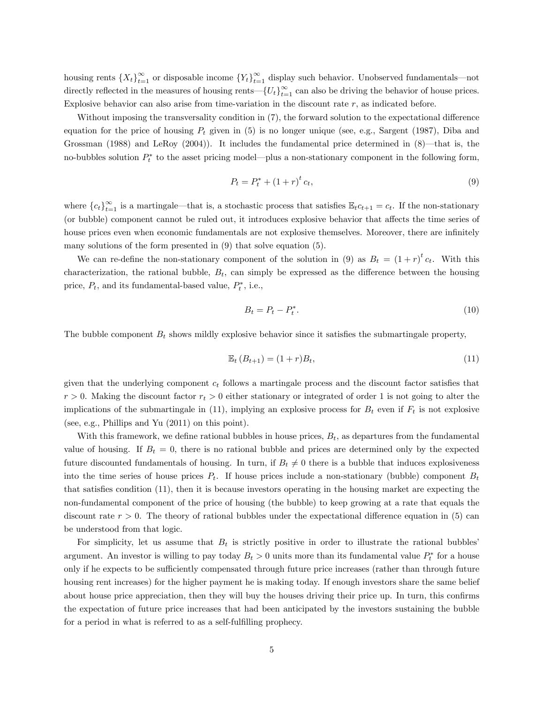housing rents  $\{X_t\}_{t=1}^{\infty}$  or disposable income  $\{Y_t\}_{t=1}^{\infty}$  display such behavior. Unobserved fundamentals—not directly reflected in the measures of housing rents— $\{U_t\}_{t=1}^{\infty}$  can also be driving the behavior of house prices. Explosive behavior can also arise from time-variation in the discount rate r, as indicated before.

Without imposing the transversality condition in (7), the forward solution to the expectational difference equation for the price of housing  $P_t$  given in (5) is no longer unique (see, e.g., Sargent (1987), Diba and Grossman (1988) and LeRoy (2004)). It includes the fundamental price determined in  $(8)$ —that is, the no-bubbles solution  $P_t^*$  to the asset pricing model—plus a non-stationary component in the following form,

$$
P_t = P_t^* + (1+r)^t c_t,
$$
\n(9)

where  $\{c_t\}_{t=1}^{\infty}$  is a martingale—that is, a stochastic process that satisfies  $\mathbb{E}_t c_{t+1} = c_t$ . If the non-stationary (or bubble) component cannot be ruled out, it introduces explosive behavior that affects the time series of house prices even when economic fundamentals are not explosive themselves. Moreover, there are infinitely many solutions of the form presented in (9) that solve equation (5).

We can re-define the non-stationary component of the solution in (9) as  $B_t = (1+r)^t c_t$ . With this characterization, the rational bubble,  $B_t$ , can simply be expressed as the difference between the housing price,  $P_t$ , and its fundamental-based value,  $P_t^*$ , i.e.,

$$
B_t = P_t - P_t^*.
$$
\n<sup>(10)</sup>

The bubble component  $B_t$  shows mildly explosive behavior since it satisfies the submartingale property,

$$
\mathbb{E}_t (B_{t+1}) = (1+r)B_t, \tag{11}
$$

given that the underlying component  $c_t$  follows a martingale process and the discount factor satisfies that  $r > 0$ . Making the discount factor  $r_t > 0$  either stationary or integrated of order 1 is not going to alter the implications of the submartingale in (11), implying an explosive process for  $B_t$  even if  $F_t$  is not explosive (see, e.g., Phillips and Yu (2011) on this point).

With this framework, we define rational bubbles in house prices,  $B_t$ , as departures from the fundamental value of housing. If  $B_t = 0$ , there is no rational bubble and prices are determined only by the expected future discounted fundamentals of housing. In turn, if  $B_t \neq 0$  there is a bubble that induces explosiveness into the time series of house prices  $P_t$ . If house prices include a non-stationary (bubble) component  $B_t$ that satisfies condition (11), then it is because investors operating in the housing market are expecting the non-fundamental component of the price of housing (the bubble) to keep growing at a rate that equals the discount rate  $r > 0$ . The theory of rational bubbles under the expectational difference equation in (5) can be understood from that logic.

For simplicity, let us assume that  $B_t$  is strictly positive in order to illustrate the rational bubbles argument. An investor is willing to pay today  $B_t > 0$  units more than its fundamental value  $P_t^*$  for a house only if he expects to be sufficiently compensated through future price increases (rather than through future housing rent increases) for the higher payment he is making today. If enough investors share the same belief about house price appreciation, then they will buy the houses driving their price up. In turn, this confirms the expectation of future price increases that had been anticipated by the investors sustaining the bubble for a period in what is referred to as a self-fulfilling prophecy.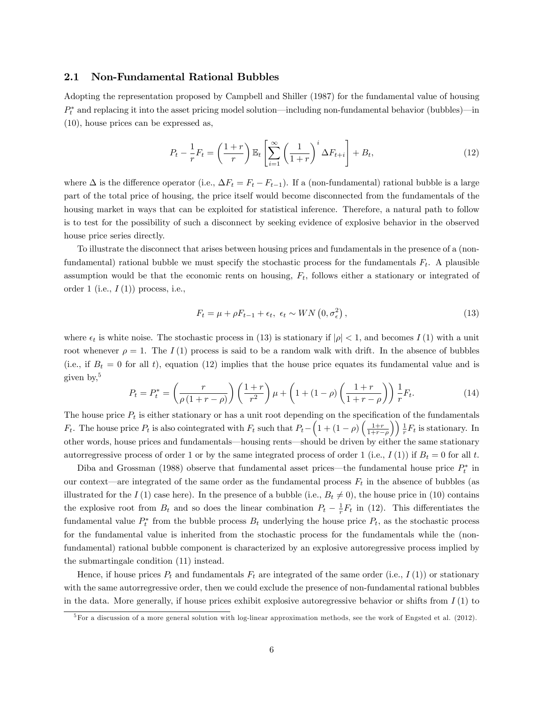#### 2.1 Non-Fundamental Rational Bubbles

Adopting the representation proposed by Campbell and Shiller (1987) for the fundamental value of housing  $P_t^*$  and replacing it into the asset pricing model solution—including non-fundamental behavior (bubbles)—in (10), house prices can be expressed as,

$$
P_t - \frac{1}{r} F_t = \left(\frac{1+r}{r}\right) \mathbb{E}_t \left[\sum_{i=1}^{\infty} \left(\frac{1}{1+r}\right)^i \Delta F_{t+i}\right] + B_t,
$$
\n(12)

where  $\Delta$  is the difference operator (i.e.,  $\Delta F_t = F_t - F_{t-1}$ ). If a (non-fundamental) rational bubble is a large part of the total price of housing, the price itself would become disconnected from the fundamentals of the housing market in ways that can be exploited for statistical inference. Therefore, a natural path to follow is to test for the possibility of such a disconnect by seeking evidence of explosive behavior in the observed house price series directly.

To illustrate the disconnect that arises between housing prices and fundamentals in the presence of a (nonfundamental) rational bubble we must specify the stochastic process for the fundamentals  $F_t$ . A plausible assumption would be that the economic rents on housing,  $F_t$ , follows either a stationary or integrated of order 1 (i.e.,  $I(1)$ ) process, i.e.,

$$
F_t = \mu + \rho F_{t-1} + \epsilon_t, \ \epsilon_t \sim WN\left(0, \sigma_\epsilon^2\right),\tag{13}
$$

where  $\epsilon_t$  is white noise. The stochastic process in (13) is stationary if  $|\rho| < 1$ , and becomes  $I(1)$  with a unit root whenever  $\rho = 1$ . The I(1) process is said to be a random walk with drift. In the absence of bubbles (i.e., if  $B_t = 0$  for all t), equation (12) implies that the house price equates its fundamental value and is given by,<sup>5</sup>

$$
P_t = P_t^* = \left(\frac{r}{\rho(1+r-\rho)}\right) \left(\frac{1+r}{r^2}\right) \mu + \left(1 + (1-\rho)\left(\frac{1+r}{1+r-\rho}\right)\right) \frac{1}{r} F_t.
$$
 (14)

The house price  $P_t$  is either stationary or has a unit root depending on the specification of the fundamentals  $F_t$ . The house price  $P_t$  is also cointegrated with  $F_t$  such that  $P_t - \left(1 + (1 - \rho)\left(\frac{1+r}{1+r-\rho}\right)\right)$  $\left( \int_{0}^{1} \frac{1}{r} F_t$  is stationary. In other words, house prices and fundamentals—housing rents—should be driven by either the same stationary autorregressive process of order 1 or by the same integrated process of order 1 (i.e.,  $I(1)$ ) if  $B_t = 0$  for all t.

Diba and Grossman (1988) observe that fundamental asset prices—the fundamental house price  $P_t^*$  in our context—are integrated of the same order as the fundamental process  $F_t$  in the absence of bubbles (as illustrated for the I (1) case here). In the presence of a bubble (i.e.,  $B_t \neq 0$ ), the house price in (10) contains the explosive root from  $B_t$  and so does the linear combination  $P_t - \frac{1}{r} F_t$  in (12). This differentiates the fundamental value  $P_t^*$  from the bubble process  $B_t$  underlying the house price  $P_t$ , as the stochastic process for the fundamental value is inherited from the stochastic process for the fundamentals while the (nonfundamental) rational bubble component is characterized by an explosive autoregressive process implied by the submartingale condition (11) instead.

Hence, if house prices  $P_t$  and fundamentals  $F_t$  are integrated of the same order (i.e.,  $I(1)$ ) or stationary with the same autorregressive order, then we could exclude the presence of non-fundamental rational bubbles in the data. More generally, if house prices exhibit explosive autoregressive behavior or shifts from  $I(1)$  to

 ${}^{5}$  For a discussion of a more general solution with log-linear approximation methods, see the work of Engsted et al. (2012).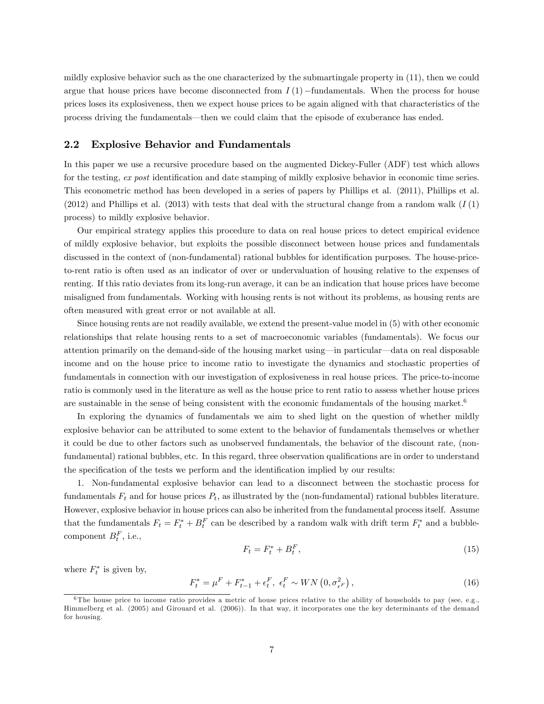mildly explosive behavior such as the one characterized by the submartingale property in (11), then we could argue that house prices have become disconnected from  $I(1)$  -fundamentals. When the process for house prices loses its explosiveness, then we expect house prices to be again aligned with that characteristics of the process driving the fundamentals—then we could claim that the episode of exuberance has ended.

#### 2.2 Explosive Behavior and Fundamentals

In this paper we use a recursive procedure based on the augmented Dickey-Fuller (ADF) test which allows for the testing, ex post identification and date stamping of mildly explosive behavior in economic time series. This econometric method has been developed in a series of papers by Phillips et al. (2011), Phillips et al.  $(2012)$  and Phillips et al.  $(2013)$  with tests that deal with the structural change from a random walk  $(I(1))$ process) to mildly explosive behavior.

Our empirical strategy applies this procedure to data on real house prices to detect empirical evidence of mildly explosive behavior, but exploits the possible disconnect between house prices and fundamentals discussed in the context of (non-fundamental) rational bubbles for identification purposes. The house-priceto-rent ratio is often used as an indicator of over or undervaluation of housing relative to the expenses of renting. If this ratio deviates from its long-run average, it can be an indication that house prices have become misaligned from fundamentals. Working with housing rents is not without its problems, as housing rents are often measured with great error or not available at all.

Since housing rents are not readily available, we extend the present-value model in (5) with other economic relationships that relate housing rents to a set of macroeconomic variables (fundamentals). We focus our attention primarily on the demand-side of the housing market using—in particular—data on real disposable income and on the house price to income ratio to investigate the dynamics and stochastic properties of fundamentals in connection with our investigation of explosiveness in real house prices. The price-to-income ratio is commonly used in the literature as well as the house price to rent ratio to assess whether house prices are sustainable in the sense of being consistent with the economic fundamentals of the housing market.<sup>6</sup>

In exploring the dynamics of fundamentals we aim to shed light on the question of whether mildly explosive behavior can be attributed to some extent to the behavior of fundamentals themselves or whether it could be due to other factors such as unobserved fundamentals, the behavior of the discount rate, (nonfundamental) rational bubbles, etc. In this regard, three observation qualifications are in order to understand the specification of the tests we perform and the identification implied by our results:

1. Non-fundamental explosive behavior can lead to a disconnect between the stochastic process for fundamentals  $F_t$  and for house prices  $P_t$ , as illustrated by the (non-fundamental) rational bubbles literature. However, explosive behavior in house prices can also be inherited from the fundamental process itself. Assume that the fundamentals  $F_t = F_t^* + B_t^F$  can be described by a random walk with drift term  $F_t^*$  and a bubblecomponent  $B_t^F$ , i.e.,

$$
F_t = F_t^* + B_t^F,\tag{15}
$$

where  $F_t^*$  is given by,

$$
F_t^* = \mu^F + F_{t-1}^* + \epsilon_t^F, \ \epsilon_t^F \sim WN\left(0, \sigma_{\epsilon^F}^2\right),\tag{16}
$$

 $6$ The house price to income ratio provides a metric of house prices relative to the ability of households to pay (see, e.g., Himmelberg et al. (2005) and Girouard et al. (2006)). In that way, it incorporates one the key determinants of the demand for housing.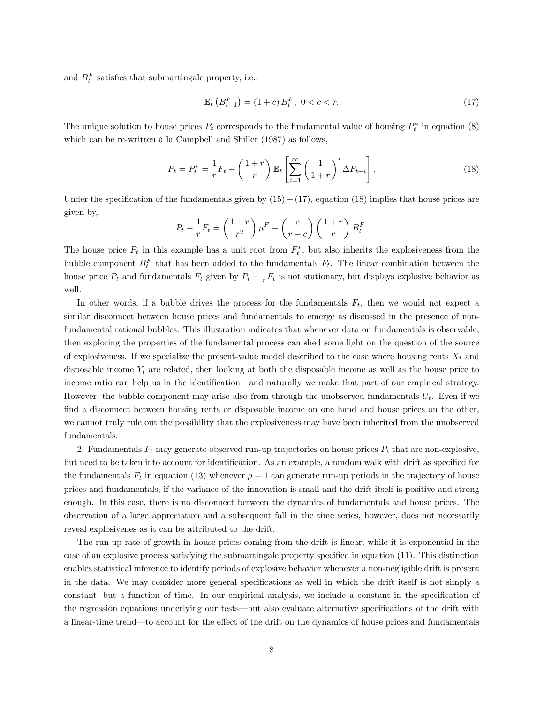and  $B_t^F$  satisfies that submartingale property, i.e.,

$$
\mathbb{E}_t\left(B_{t+1}^F\right) = (1+c) \, B_t^F, \ 0 < c < r. \tag{17}
$$

The unique solution to house prices  $P_t$  corresponds to the fundamental value of housing  $P_t^*$  in equation (8) which can be re-written à la Campbell and Shiller (1987) as follows,

$$
P_t = P_t^* = \frac{1}{r} F_t + \left(\frac{1+r}{r}\right) \mathbb{E}_t \left[\sum_{i=1}^{\infty} \left(\frac{1}{1+r}\right)^i \Delta F_{t+i}\right].
$$
 (18)

Under the specification of the fundamentals given by  $(15) - (17)$ , equation (18) implies that house prices are given by,

$$
P_t - \frac{1}{r}F_t = \left(\frac{1+r}{r^2}\right)\mu^F + \left(\frac{c}{r-c}\right)\left(\frac{1+r}{r}\right)B_t^F.
$$

The house price  $P_t$  in this example has a unit root from  $F_t^*$ , but also inherits the explosiveness from the bubble component  $B_t^F$  that has been added to the fundamentals  $F_t$ . The linear combination between the house price  $P_t$  and fundamentals  $F_t$  given by  $P_t - \frac{1}{r} F_t$  is not stationary, but displays explosive behavior as well.

In other words, if a bubble drives the process for the fundamentals  $F_t$ , then we would not expect a similar disconnect between house prices and fundamentals to emerge as discussed in the presence of nonfundamental rational bubbles. This illustration indicates that whenever data on fundamentals is observable, then exploring the properties of the fundamental process can shed some light on the question of the source of explosiveness. If we specialize the present-value model described to the case where housing rents  $X_t$  and disposable income  $Y_t$  are related, then looking at both the disposable income as well as the house price to income ratio can help us in the identification—and naturally we make that part of our empirical strategy. However, the bubble component may arise also from through the unobserved fundamentals  $U_t$ . Even if we find a disconnect between housing rents or disposable income on one hand and house prices on the other, we cannot truly rule out the possibility that the explosiveness may have been inherited from the unobserved fundamentals.

2. Fundamentals  $F_t$  may generate observed run-up trajectories on house prices  $P_t$  that are non-explosive, but need to be taken into account for identification. As an example, a random walk with drift as specified for the fundamentals  $F_t$  in equation (13) whenever  $\rho = 1$  can generate run-up periods in the trajectory of house prices and fundamentals, if the variance of the innovation is small and the drift itself is positive and strong enough. In this case, there is no disconnect between the dynamics of fundamentals and house prices. The observation of a large appreciation and a subsequent fall in the time series, however, does not necessarily reveal explosivenes as it can be attributed to the drift.

The run-up rate of growth in house prices coming from the drift is linear, while it is exponential in the case of an explosive process satisfying the submartingale property specified in equation (11). This distinction enables statistical inference to identify periods of explosive behavior whenever a non-negligible drift is present in the data. We may consider more general specifications as well in which the drift itself is not simply a constant, but a function of time. In our empirical analysis, we include a constant in the specification of the regression equations underlying our tests—but also evaluate alternative specifications of the drift with a linear-time trend—to account for the effect of the drift on the dynamics of house prices and fundamentals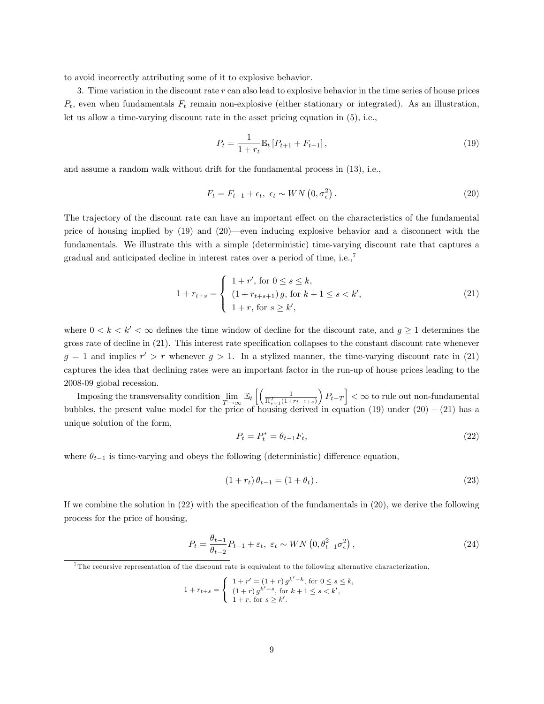to avoid incorrectly attributing some of it to explosive behavior.

3. Time variation in the discount rate r can also lead to explosive behavior in the time series of house prices  $P_t$ , even when fundamentals  $F_t$  remain non-explosive (either stationary or integrated). As an illustration, let us allow a time-varying discount rate in the asset pricing equation in (5), i.e.,

$$
P_t = \frac{1}{1 + r_t} \mathbb{E}_t \left[ P_{t+1} + F_{t+1} \right],\tag{19}
$$

and assume a random walk without drift for the fundamental process in (13), i.e.,

$$
F_t = F_{t-1} + \epsilon_t, \ \epsilon_t \sim WN\left(0, \sigma_\epsilon^2\right). \tag{20}
$$

The trajectory of the discount rate can have an important effect on the characteristics of the fundamental price of housing implied by  $(19)$  and  $(20)$ —even inducing explosive behavior and a disconnect with the fundamentals. We illustrate this with a simple (deterministic) time-varying discount rate that captures a gradual and anticipated decline in interest rates over a period of time, i.e.,  $\frac{7}{1}$ 

$$
1 + r_{t+s} = \begin{cases} 1 + r', \text{ for } 0 \le s \le k, \\ (1 + r_{t+s+1}) g, \text{ for } k+1 \le s < k', \\ 1 + r, \text{ for } s \ge k', \end{cases} \tag{21}
$$

where  $0 < k < k' < \infty$  defines the time window of decline for the discount rate, and  $g \ge 1$  determines the gross rate of decline in (21). This interest rate specification collapses to the constant discount rate whenever  $g = 1$  and implies  $r' > r$  whenever  $g > 1$ . In a stylized manner, the time-varying discount rate in (21) captures the idea that declining rates were an important factor in the run-up of house prices leading to the 2008-09 global recession.

Imposing the transversality condition  $\lim$  $\lim_{T \to \infty} \mathbb{E}_t \left[ \left( \frac{1}{\Pi_{s=1}^T (1+r_{t-1+s})} \right) \right]$  $\left| P_{t+T} \right| < \infty$  to rule out non-fundamental bubbles, the present value model for the price of housing derived in equation  $(19)$  under  $(20) - (21)$  has a unique solution of the form,

$$
P_t = P_t^* = \theta_{t-1} F_t,\tag{22}
$$

where  $\theta_{t-1}$  is time-varying and obeys the following (deterministic) difference equation,

$$
(1 + r_t)\theta_{t-1} = (1 + \theta_t). \tag{23}
$$

If we combine the solution in  $(22)$  with the specification of the fundamentals in  $(20)$ , we derive the following process for the price of housing,

$$
P_t = \frac{\theta_{t-1}}{\theta_{t-2}} P_{t-1} + \varepsilon_t, \ \varepsilon_t \sim WN\left(0, \theta_{t-1}^2 \sigma_\epsilon^2\right),\tag{24}
$$

<sup>7</sup>The recursive representation of the discount rate is equivalent to the following alternative characterization,

$$
1 + r_{t+s} = \begin{cases} 1 + r' = (1+r) g^{k'-k}, \text{ for } 0 \le s \le k, \\ (1+r) g^{k'-s}, \text{ for } k+1 \le s < k', \\ 1+r, \text{ for } s \ge k'. \end{cases}
$$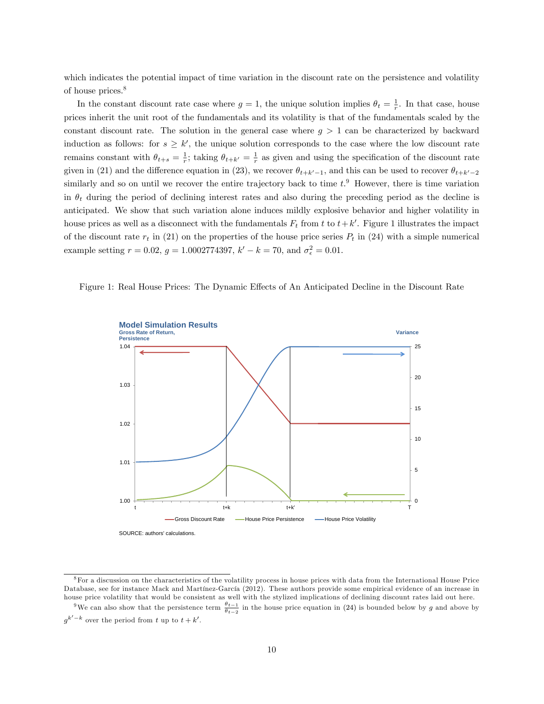which indicates the potential impact of time variation in the discount rate on the persistence and volatility of house prices.<sup>8</sup>

In the constant discount rate case where  $g = 1$ , the unique solution implies  $\theta_t = \frac{1}{r}$ . In that case, house prices inherit the unit root of the fundamentals and its volatility is that of the fundamentals scaled by the constant discount rate. The solution in the general case where  $g > 1$  can be characterized by backward induction as follows: for  $s \geq k'$ , the unique solution corresponds to the case where the low discount rate remains constant with  $\theta_{t+s} = \frac{1}{r}$ ; taking  $\theta_{t+k'} = \frac{1}{r}$  as given and using the specification of the discount rate given in (21) and the difference equation in (23), we recover  $\theta_{t+k'-1}$ , and this can be used to recover  $\theta_{t+k'-2}$ similarly and so on until we recover the entire trajectory back to time  $t$ . However, there is time variation in  $\theta_t$  during the period of declining interest rates and also during the preceding period as the decline is anticipated. We show that such variation alone induces mildly explosive behavior and higher volatility in house prices as well as a disconnect with the fundamentals  $F_t$  from t to  $t + k'$ . Figure 1 illustrates the impact of the discount rate  $r_t$  in (21) on the properties of the house price series  $P_t$  in (24) with a simple numerical example setting  $r = 0.02$ ,  $g = 1.0002774397$ ,  $k' - k = 70$ , and  $\sigma_{\epsilon}^2 = 0.01$ .





SOURCE: authors' calculations.

 $8$ For a discussion on the characteristics of the volatility process in house prices with data from the International House Price Database, see for instance Mack and Martínez-García (2012). These authors provide some empirical evidence of an increase in house price volatility that would be consistent as well with the stylized implications of declining discount rates laid out here.

<sup>&</sup>lt;sup>9</sup>We can also show that the persistence term  $\frac{\theta_{t-1}}{\theta_{t-2}}$  in the house price equation in (24) is bounded below by g and above by  $g^{k'-k}$  over the period from t up to  $t + k'$ .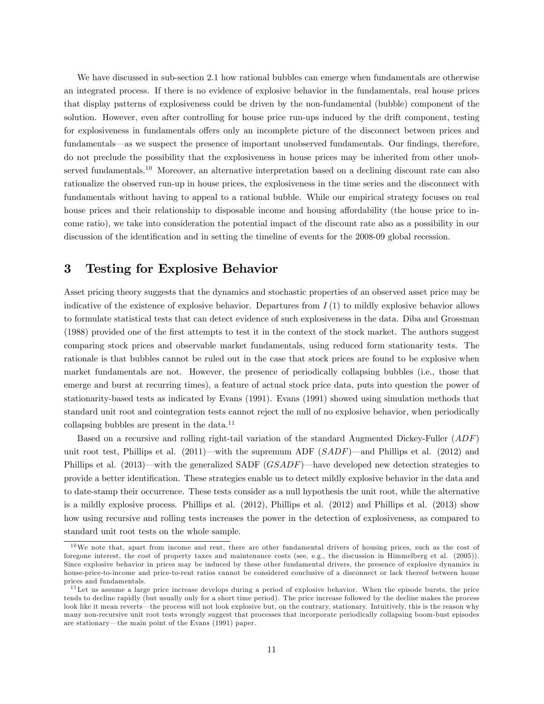We have discussed in sub-section 2.1 how rational bubbles can emerge when fundamentals are otherwise an integrated process. If there is no evidence of explosive behavior in the fundamentals, real house prices that display patterns of explosiveness could be driven by the non-fundamental (bubble) component of the solution. However, even after controlling for house price run-ups induced by the drift component, testing for explosiveness in fundamentals offers only an incomplete picture of the disconnect between prices and fundamentals—as we suspect the presence of important unobserved fundamentals. Our findings, therefore, do not preclude the possibility that the explosiveness in house prices may be inherited from other unobserved fundamentals.<sup>10</sup> Moreover, an alternative interpretation based on a declining discount rate can also rationalize the observed run-up in house prices, the explosiveness in the time series and the disconnect with fundamentals without having to appeal to a rational bubble. While our empirical strategy focuses on real house prices and their relationship to disposable income and housing affordability (the house price to income ratio), we take into consideration the potential impact of the discount rate also as a possibility in our discussion of the identification and in setting the timeline of events for the 2008-09 global recession.

# 3 Testing for Explosive Behavior

Asset pricing theory suggests that the dynamics and stochastic properties of an observed asset price may be indicative of the existence of explosive behavior. Departures from  $I(1)$  to mildly explosive behavior allows to formulate statistical tests that can detect evidence of such explosiveness in the data. Diba and Grossman (1988) provided one of the Örst attempts to test it in the context of the stock market. The authors suggest comparing stock prices and observable market fundamentals, using reduced form stationarity tests. The rationale is that bubbles cannot be ruled out in the case that stock prices are found to be explosive when market fundamentals are not. However, the presence of periodically collapsing bubbles (i.e., those that emerge and burst at recurring times), a feature of actual stock price data, puts into question the power of stationarity-based tests as indicated by Evans (1991). Evans (1991) showed using simulation methods that standard unit root and cointegration tests cannot reject the null of no explosive behavior, when periodically collapsing bubbles are present in the data. $^{11}$ 

Based on a recursive and rolling right-tail variation of the standard Augmented Dickey-Fuller (ADF) unit root test, Phillips et al. (2011)—with the supremum ADF ( $SADF$ )—and Phillips et al. (2012) and Phillips et al. (2013)—with the generalized SADF  $(GSADF)$ —have developed new detection strategies to provide a better identification. These strategies enable us to detect mildly explosive behavior in the data and to date-stamp their occurrence. These tests consider as a null hypothesis the unit root, while the alternative is a mildly explosive process. Phillips et al. (2012), Phillips et al. (2012) and Phillips et al. (2013) show how using recursive and rolling tests increases the power in the detection of explosiveness, as compared to standard unit root tests on the whole sample.

<sup>&</sup>lt;sup>10</sup>We note that, apart from income and rent, there are other fundamental drivers of housing prices, such as the cost of foregone interest, the cost of property taxes and maintenance costs (see, e.g., the discussion in Himmelberg et al. (2005)). Since explosive behavior in prices may be induced by these other fundamental drivers, the presence of explosive dynamics in house-price-to-income and price-to-rent ratios cannot be considered conclusive of a disconnect or lack thereof between house prices and fundamentals.

 $11$ Let us assume a large price increase develops during a period of explosive behavior. When the episode bursts, the price tends to decline rapidly (but usually only for a short time period). The price increase followed by the decline makes the process look like it mean reverts—the process will not look explosive but, on the contrary, stationary. Intuitively, this is the reason why many non-recursive unit root tests wrongly suggest that processes that incorporate periodically collapsing boom-bust episodes are stationary—the main point of the Evans (1991) paper.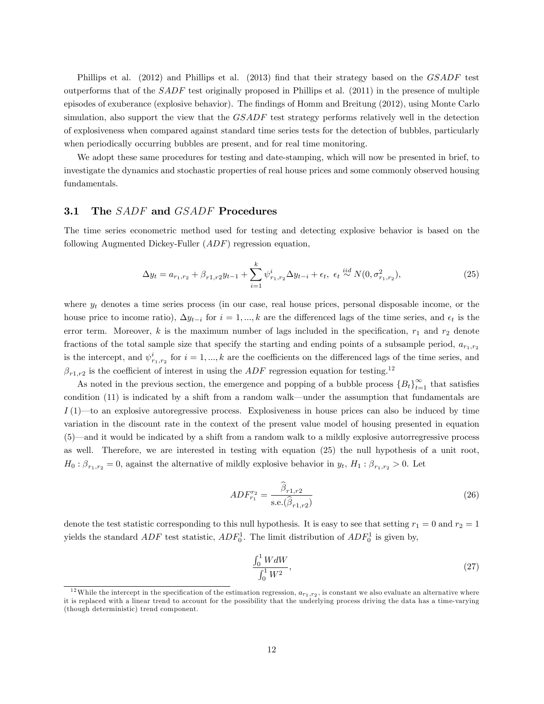Phillips et al. (2012) and Phillips et al. (2013) find that their strategy based on the GSADF test outperforms that of the  $SADF$  test originally proposed in Phillips et al. (2011) in the presence of multiple episodes of exuberance (explosive behavior). The findings of Homm and Breitung (2012), using Monte Carlo simulation, also support the view that the GSADF test strategy performs relatively well in the detection of explosiveness when compared against standard time series tests for the detection of bubbles, particularly when periodically occurring bubbles are present, and for real time monitoring.

We adopt these same procedures for testing and date-stamping, which will now be presented in brief, to investigate the dynamics and stochastic properties of real house prices and some commonly observed housing fundamentals.

#### 3.1 The SADF and GSADF Procedures

The time series econometric method used for testing and detecting explosive behavior is based on the following Augmented Dickey-Fuller (ADF) regression equation,

$$
\Delta y_t = a_{r_1, r_2} + \beta_{r_1, r_2} y_{t-1} + \sum_{i=1}^k \psi_{r_1, r_2}^i \Delta y_{t-i} + \epsilon_t, \ \epsilon_t \stackrel{iid}{\sim} N(0, \sigma_{r_1, r_2}^2), \tag{25}
$$

where  $y_t$  denotes a time series process (in our case, real house prices, personal disposable income, or the house price to income ratio),  $\Delta y_{t-i}$  for  $i = 1, ..., k$  are the differenced lags of the time series, and  $\epsilon_t$  is the error term. Moreover,  $k$  is the maximum number of lags included in the specification,  $r_1$  and  $r_2$  denote fractions of the total sample size that specify the starting and ending points of a subsample period,  $a_{r_1,r_2}$ is the intercept, and  $\psi^i_{r_1,r_2}$  for  $i = 1,...,k$  are the coefficients on the differenced lags of the time series, and  $\beta_{r1,r2}$  is the coefficient of interest in using the ADF regression equation for testing.<sup>12</sup>

As noted in the previous section, the emergence and popping of a bubble process  ${B_t}_{t=1}^{\infty}$  that satisfies condition  $(11)$  is indicated by a shift from a random walk—under the assumption that fundamentals are  $I(1)$ —to an explosive autoregressive process. Explosiveness in house prices can also be induced by time variation in the discount rate in the context of the present value model of housing presented in equation  $(5)$ —and it would be indicated by a shift from a random walk to a mildly explosive autorregressive process as well. Therefore, we are interested in testing with equation (25) the null hypothesis of a unit root,  $H_0: \beta_{r_1,r_2} = 0$ , against the alternative of mildly explosive behavior in  $y_t$ ,  $H_1: \beta_{r_1,r_2} > 0$ . Let

$$
ADF_{r_1}^{r_2} = \frac{\hat{\beta}_{r1,r2}}{\text{s.e.}(\hat{\beta}_{r1,r2})}
$$
\n(26)

denote the test statistic corresponding to this null hypothesis. It is easy to see that setting  $r_1 = 0$  and  $r_2 = 1$ yields the standard  $ADF$  test statistic,  $ADF_0^1$ . The limit distribution of  $ADF_0^1$  is given by,

$$
\frac{\int_0^1 W dW}{\int_0^1 W^2},\tag{27}
$$

<sup>&</sup>lt;sup>12</sup>While the intercept in the specification of the estimation regression,  $a_{r_1,r_2}$ , is constant we also evaluate an alternative where it is replaced with a linear trend to account for the possibility that the underlying process driving the data has a time-varying (though deterministic) trend component.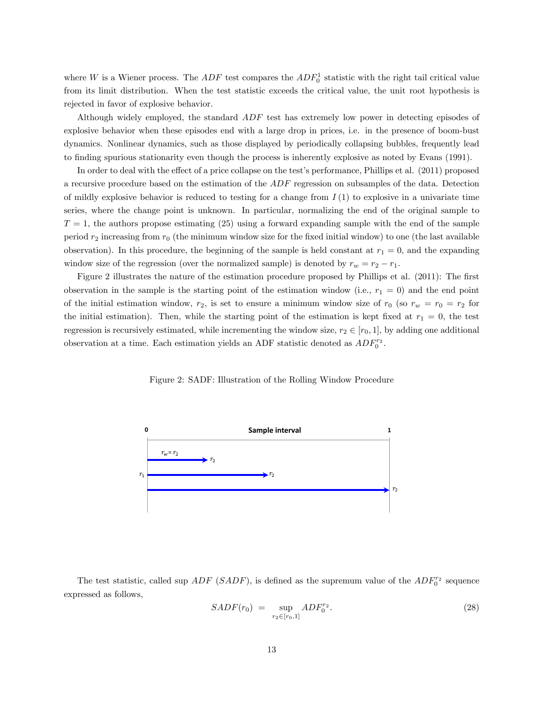where W is a Wiener process. The  $ADF$  test compares the  $ADF_0^1$  statistic with the right tail critical value from its limit distribution. When the test statistic exceeds the critical value, the unit root hypothesis is rejected in favor of explosive behavior.

Although widely employed, the standard  $ADF$  test has extremely low power in detecting episodes of explosive behavior when these episodes end with a large drop in prices, i.e. in the presence of boom-bust dynamics. Nonlinear dynamics, such as those displayed by periodically collapsing bubbles, frequently lead to Önding spurious stationarity even though the process is inherently explosive as noted by Evans (1991).

In order to deal with the effect of a price collapse on the test's performance, Phillips et al. (2011) proposed a recursive procedure based on the estimation of the ADF regression on subsamples of the data. Detection of mildly explosive behavior is reduced to testing for a change from  $I(1)$  to explosive in a univariate time series, where the change point is unknown. In particular, normalizing the end of the original sample to  $T = 1$ , the authors propose estimating (25) using a forward expanding sample with the end of the sample period  $r_2$  increasing from  $r_0$  (the minimum window size for the fixed initial window) to one (the last available observation). In this procedure, the beginning of the sample is held constant at  $r_1 = 0$ , and the expanding window size of the regression (over the normalized sample) is denoted by  $r_w = r_2 - r_1$ .

Figure 2 illustrates the nature of the estimation procedure proposed by Phillips et al. (2011): The first observation in the sample is the starting point of the estimation window (i.e.,  $r_1 = 0$ ) and the end point of the initial estimation window,  $r_2$ , is set to ensure a minimum window size of  $r_0$  (so  $r_w = r_0 = r_2$  for the initial estimation). Then, while the starting point of the estimation is kept fixed at  $r_1 = 0$ , the test regression is recursively estimated, while incrementing the window size,  $r_2 \in [r_0, 1]$ , by adding one additional observation at a time. Each estimation yields an ADF statistic denoted as  $ADF_0^{r_2}$ .

Figure 2: SADF: Illustration of the Rolling Window Procedure



The test statistic, called sup  $ADF$  (SADF), is defined as the supremum value of the  $ADF_0^{r_2}$  sequence expressed as follows,

$$
SADF(r_0) = \sup_{r_2 \in [r_0, 1]} ADF_0^{r_2}.
$$
\n(28)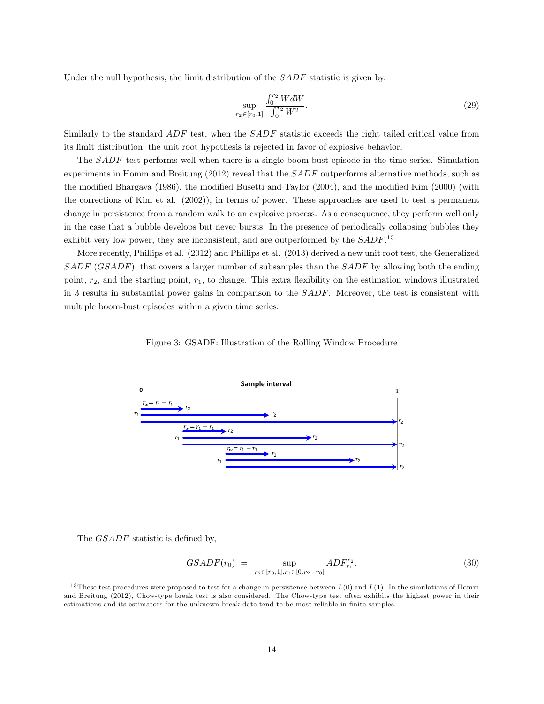Under the null hypothesis, the limit distribution of the  $SADF$  statistic is given by,

$$
\sup_{r_2 \in [r_0,1]} \frac{\int_0^{r_2} W dW}{\int_0^{r_2} W^2}.
$$
\n(29)

Similarly to the standard ADF test, when the SADF statistic exceeds the right tailed critical value from its limit distribution, the unit root hypothesis is rejected in favor of explosive behavior.

The SADF test performs well when there is a single boom-bust episode in the time series. Simulation experiments in Homm and Breitung (2012) reveal that the SADF outperforms alternative methods, such as the modified Bhargava (1986), the modified Busetti and Taylor (2004), and the modified Kim (2000) (with the corrections of Kim et al. (2002)), in terms of power. These approaches are used to test a permanent change in persistence from a random walk to an explosive process. As a consequence, they perform well only in the case that a bubble develops but never bursts. In the presence of periodically collapsing bubbles they exhibit very low power, they are inconsistent, and are outperformed by the  $SADE^{13}$ 

More recently, Phillips et al. (2012) and Phillips et al. (2013) derived a new unit root test, the Generalized SADF (GSADF), that covers a larger number of subsamples than the SADF by allowing both the ending point,  $r_2$ , and the starting point,  $r_1$ , to change. This extra flexibility on the estimation windows illustrated in 3 results in substantial power gains in comparison to the SADF. Moreover, the test is consistent with multiple boom-bust episodes within a given time series.





The *GSADF* statistic is defined by,

$$
GSADF(r_0) = \sup_{r_2 \in [r_0,1], r_1 \in [0,r_2-r_0]} ADF^{r_2}_{r_1}.
$$
\n(30)

<sup>&</sup>lt;sup>13</sup> These test procedures were proposed to test for a change in persistence between  $I(0)$  and  $I(1)$ . In the simulations of Homm and Breitung (2012), Chow-type break test is also considered. The Chow-type test often exhibits the highest power in their estimations and its estimators for the unknown break date tend to be most reliable in finite samples.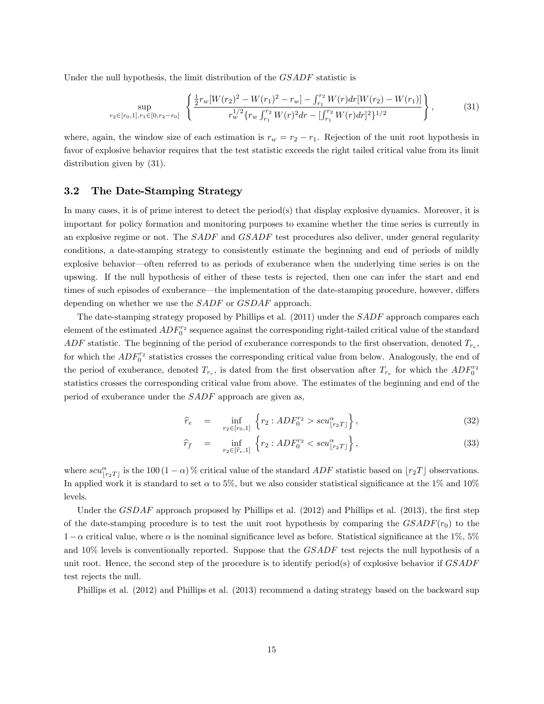Under the null hypothesis, the limit distribution of the  $GSADF$  statistic is

$$
\sup_{r_2 \in [r_0,1], r_1 \in [0,r_2-r_0]} \left\{ \frac{\frac{1}{2} r_w [W(r_2)^2 - W(r_1)^2 - r_w] - \int_{r_1}^{r_2} W(r) dr [W(r_2) - W(r_1)]}{r_w^{1/2} \{r_w \int_{r_1}^{r_2} W(r)^2 dr - \left[ \int_{r_1}^{r_2} W(r) dr \right]^2 \}^{1/2}} \right\},
$$
(31)

where, again, the window size of each estimation is  $r_w = r_2 - r_1$ . Rejection of the unit root hypothesis in favor of explosive behavior requires that the test statistic exceeds the right tailed critical value from its limit distribution given by (31).

#### 3.2 The Date-Stamping Strategy

In many cases, it is of prime interest to detect the period(s) that display explosive dynamics. Moreover, it is important for policy formation and monitoring purposes to examine whether the time series is currently in an explosive regime or not. The SADF and GSADF test procedures also deliver, under general regularity conditions, a date-stamping strategy to consistently estimate the beginning and end of periods of mildly explosive behavior—often referred to as periods of exuberance when the underlying time series is on the upswing. If the null hypothesis of either of these tests is rejected, then one can infer the start and end times of such episodes of exuberance—the implementation of the date-stamping procedure, however, differs depending on whether we use the SADF or GSDAF approach.

The date-stamping strategy proposed by Phillips et al. (2011) under the SADF approach compares each element of the estimated  $ADF_0^{r_2}$  sequence against the corresponding right-tailed critical value of the standard  $ADF$  statistic. The beginning of the period of exuberance corresponds to the first observation, denoted  $T_{r_e}$ , for which the  $ADF_0^{r_2}$  statistics crosses the corresponding critical value from below. Analogously, the end of the period of exuberance, denoted  $T_{r_r}$ , is dated from the first observation after  $T_{r_e}$  for which the  $ADF_0^{r_2}$ statistics crosses the corresponding critical value from above. The estimates of the beginning and end of the period of exuberance under the SADF approach are given as,

$$
\widehat{r}_e = \inf_{r_2 \in [r_0, 1]} \left\{ r_2 : ADF_0^{r_2} > scu_{\lfloor r_2 T \rfloor}^{\alpha} \right\},\tag{32}
$$

$$
\widehat{r}_f = \inf_{r_2 \in [\widehat{r}_e, 1]} \left\{ r_2 : ADF_0^{r_2} < scu_{\lfloor r_2 T \rfloor}^{\alpha} \right\},\tag{33}
$$

where  $scu^{\alpha}_{\lfloor r_2T\rfloor}$  is the 100  $(1-\alpha)$ % critical value of the standard  $ADF$  statistic based on  $\lfloor r_2T\rfloor$  observations. In applied work it is standard to set  $\alpha$  to 5%, but we also consider statistical significance at the 1% and 10% levels.

Under the  $GSDAF$  approach proposed by Phillips et al. (2012) and Phillips et al. (2013), the first step of the date-stamping procedure is to test the unit root hypothesis by comparing the  $GSADF(r_0)$  to the  $1-\alpha$  critical value, where  $\alpha$  is the nominal significance level as before. Statistical significance at the 1%, 5% and 10% levels is conventionally reported. Suppose that the GSADF test rejects the null hypothesis of a unit root. Hence, the second step of the procedure is to identify period(s) of explosive behavior if  $GSADF$ test rejects the null.

Phillips et al. (2012) and Phillips et al. (2013) recommend a dating strategy based on the backward sup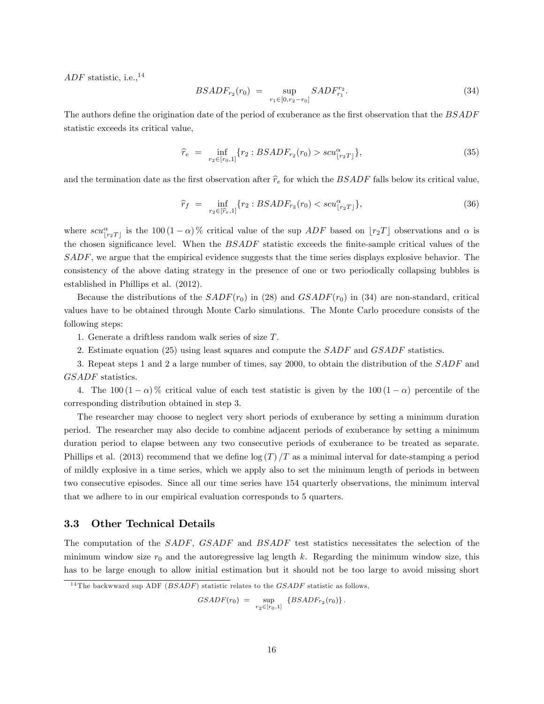ADF statistic, i.e.,  $^{14}$ 

$$
BSADF_{r_2}(r_0) = \sup_{r_1 \in [0, r_2 - r_0]} SADF_{r_1}^{r_2}.
$$
\n(34)

The authors define the origination date of the period of exuberance as the first observation that the BSADF statistic exceeds its critical value,

$$
\widehat{r}_e = \inf_{r_2 \in [r_0, 1]} \{ r_2 : BSADF_{r_2}(r_0) > scu^{\alpha}_{\lfloor r_2 T \rfloor} \},\tag{35}
$$

and the termination date as the first observation after  $\hat{r}_e$  for which the BSADF falls below its critical value,

$$
\widehat{r}_f = \inf_{r_2 \in [\widehat{r}_e, 1]} \{ r_2 : BSADF_{r_2}(r_0) < scu_{\lfloor r_2 T \rfloor}^{\alpha} \},\tag{36}
$$

where  $scu_{\lfloor r_2T\rfloor}^{\alpha}$  is the 100  $(1-\alpha)$ % critical value of the sup  $ADF$  based on  $\lfloor r_2T\rfloor$  observations and  $\alpha$  is the chosen significance level. When the  $BSADF$  statistic exceeds the finite-sample critical values of the SADF, we argue that the empirical evidence suggests that the time series displays explosive behavior. The consistency of the above dating strategy in the presence of one or two periodically collapsing bubbles is established in Phillips et al. (2012).

Because the distributions of the  $SADF(r_0)$  in (28) and  $GSADF(r_0)$  in (34) are non-standard, critical values have to be obtained through Monte Carlo simulations. The Monte Carlo procedure consists of the following steps:

1. Generate a driftless random walk series of size T.

2. Estimate equation (25) using least squares and compute the *SADF* and *GSADF* statistics.

3. Repeat steps 1 and 2 a large number of times, say 2000, to obtain the distribution of the SADF and GSADF statistics.

4. The 100  $(1 - \alpha)$ % critical value of each test statistic is given by the 100  $(1 - \alpha)$  percentile of the corresponding distribution obtained in step 3.

The researcher may choose to neglect very short periods of exuberance by setting a minimum duration period. The researcher may also decide to combine adjacent periods of exuberance by setting a minimum duration period to elapse between any two consecutive periods of exuberance to be treated as separate. Phillips et al. (2013) recommend that we define  $\log(T)/T$  as a minimal interval for date-stamping a period of mildly explosive in a time series, which we apply also to set the minimum length of periods in between two consecutive episodes. Since all our time series have 154 quarterly observations, the minimum interval that we adhere to in our empirical evaluation corresponds to 5 quarters.

#### 3.3 Other Technical Details

The computation of the SADF, GSADF and BSADF test statistics necessitates the selection of the minimum window size  $r_0$  and the autoregressive lag length k. Regarding the minimum window size, this has to be large enough to allow initial estimation but it should not be too large to avoid missing short

$$
GSADF(r_0) = \sup_{r_2 \in [r_0,1]} \{BSADF_{r_2}(r_0)\}.
$$

 $14$ The backwward sup ADF (*BSADF*) statistic relates to the *GSADF* statistic as follows,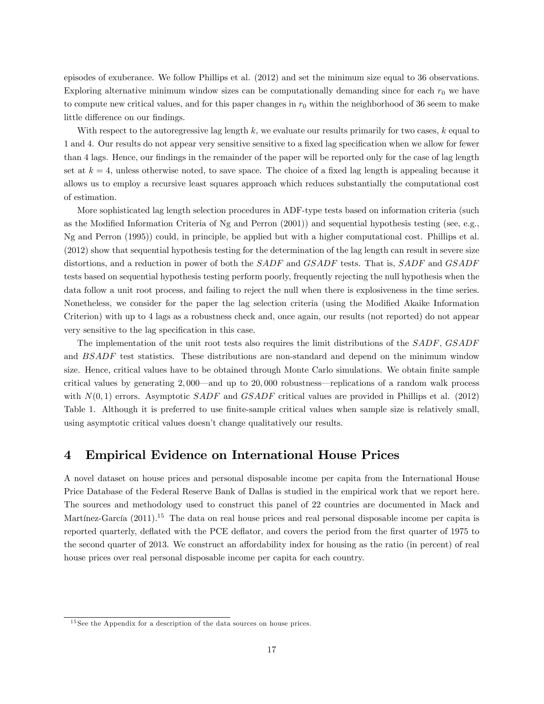episodes of exuberance. We follow Phillips et al. (2012) and set the minimum size equal to 36 observations. Exploring alternative minimum window sizes can be computationally demanding since for each  $r_0$  we have to compute new critical values, and for this paper changes in  $r_0$  within the neighborhood of 36 seem to make little difference on our findings.

With respect to the autoregressive lag length  $k$ , we evaluate our results primarily for two cases,  $k$  equal to 1 and 4. Our results do not appear very sensitive sensitive to a fixed lag specification when we allow for fewer than 4 lags. Hence, our findings in the remainder of the paper will be reported only for the case of lag length set at  $k = 4$ , unless otherwise noted, to save space. The choice of a fixed lag length is appealing because it allows us to employ a recursive least squares approach which reduces substantially the computational cost of estimation.

More sophisticated lag length selection procedures in ADF-type tests based on information criteria (such as the Modified Information Criteria of Ng and Perron (2001)) and sequential hypothesis testing (see, e.g., Ng and Perron (1995)) could, in principle, be applied but with a higher computational cost. Phillips et al. (2012) show that sequential hypothesis testing for the determination of the lag length can result in severe size distortions, and a reduction in power of both the SADF and GSADF tests. That is, SADF and GSADF tests based on sequential hypothesis testing perform poorly, frequently rejecting the null hypothesis when the data follow a unit root process, and failing to reject the null when there is explosiveness in the time series. Nonetheless, we consider for the paper the lag selection criteria (using the Modified Akaike Information Criterion) with up to 4 lags as a robustness check and, once again, our results (not reported) do not appear very sensitive to the lag specification in this case.

The implementation of the unit root tests also requires the limit distributions of the SADF, GSADF and BSADF test statistics. These distributions are non-standard and depend on the minimum window size. Hence, critical values have to be obtained through Monte Carlo simulations. We obtain finite sample critical values by generating  $2,000$ —and up to  $20,000$  robustness—replications of a random walk process with  $N(0, 1)$  errors. Asymptotic SADF and GSADF critical values are provided in Phillips et al. (2012) Table 1. Although it is preferred to use finite-sample critical values when sample size is relatively small, using asymptotic critical values doesn't change qualitatively our results.

## 4 Empirical Evidence on International House Prices

A novel dataset on house prices and personal disposable income per capita from the International House Price Database of the Federal Reserve Bank of Dallas is studied in the empirical work that we report here. The sources and methodology used to construct this panel of 22 countries are documented in Mack and Martínez-García  $(2011).$ <sup>15</sup> The data on real house prices and real personal disposable income per capita is reported quarterly, deflated with the PCE deflator, and covers the period from the first quarter of 1975 to the second quarter of 2013. We construct an affordability index for housing as the ratio (in percent) of real house prices over real personal disposable income per capita for each country.

<sup>15</sup> See the Appendix for a description of the data sources on house prices.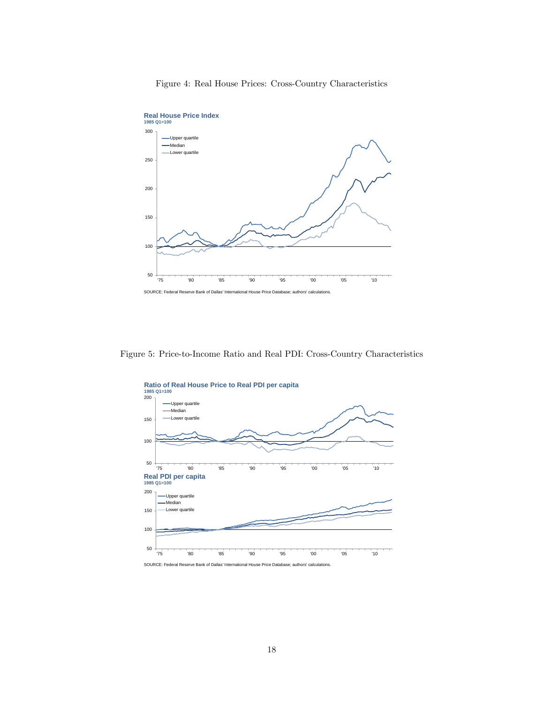#### Figure 4: Real House Prices: Cross-Country Characteristics



Figure 5: Price-to-Income Ratio and Real PDI: Cross-Country Characteristics



SOURCE: Federal Reserve Bank of Dallas' International House Price Database; authors' calculations.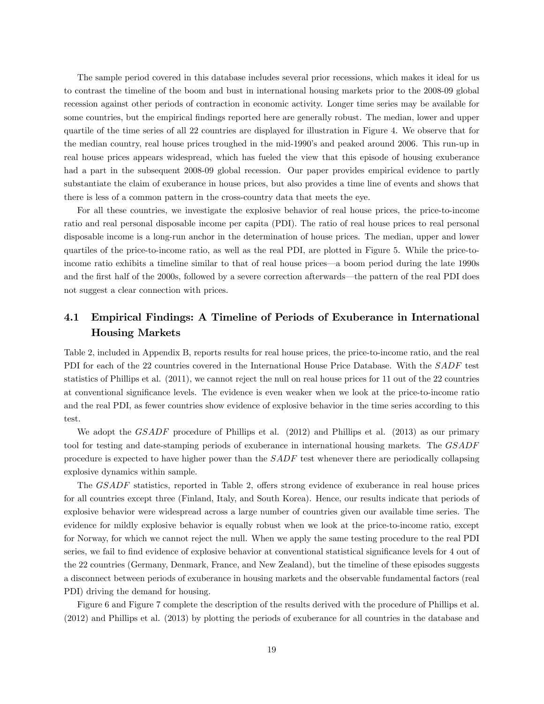The sample period covered in this database includes several prior recessions, which makes it ideal for us to contrast the timeline of the boom and bust in international housing markets prior to the 2008-09 global recession against other periods of contraction in economic activity. Longer time series may be available for some countries, but the empirical findings reported here are generally robust. The median, lower and upper quartile of the time series of all 22 countries are displayed for illustration in Figure 4. We observe that for the median country, real house prices troughed in the mid-1990's and peaked around 2006. This run-up in real house prices appears widespread, which has fueled the view that this episode of housing exuberance had a part in the subsequent 2008-09 global recession. Our paper provides empirical evidence to partly substantiate the claim of exuberance in house prices, but also provides a time line of events and shows that there is less of a common pattern in the cross-country data that meets the eye.

For all these countries, we investigate the explosive behavior of real house prices, the price-to-income ratio and real personal disposable income per capita (PDI). The ratio of real house prices to real personal disposable income is a long-run anchor in the determination of house prices. The median, upper and lower quartiles of the price-to-income ratio, as well as the real PDI, are plotted in Figure 5. While the price-toincome ratio exhibits a timeline similar to that of real house prices—a boom period during the late 1990s and the first half of the 2000s, followed by a severe correction afterwards—the pattern of the real PDI does not suggest a clear connection with prices.

# 4.1 Empirical Findings: A Timeline of Periods of Exuberance in International Housing Markets

Table 2, included in Appendix B, reports results for real house prices, the price-to-income ratio, and the real PDI for each of the 22 countries covered in the International House Price Database. With the SADF test statistics of Phillips et al. (2011), we cannot reject the null on real house prices for 11 out of the 22 countries at conventional signiÖcance levels. The evidence is even weaker when we look at the price-to-income ratio and the real PDI, as fewer countries show evidence of explosive behavior in the time series according to this test.

We adopt the *GSADF* procedure of Phillips et al. (2012) and Phillips et al. (2013) as our primary tool for testing and date-stamping periods of exuberance in international housing markets. The GSADF procedure is expected to have higher power than the SADF test whenever there are periodically collapsing explosive dynamics within sample.

The *GSADF* statistics, reported in Table 2, offers strong evidence of exuberance in real house prices for all countries except three (Finland, Italy, and South Korea). Hence, our results indicate that periods of explosive behavior were widespread across a large number of countries given our available time series. The evidence for mildly explosive behavior is equally robust when we look at the price-to-income ratio, except for Norway, for which we cannot reject the null. When we apply the same testing procedure to the real PDI series, we fail to find evidence of explosive behavior at conventional statistical significance levels for 4 out of the 22 countries (Germany, Denmark, France, and New Zealand), but the timeline of these episodes suggests a disconnect between periods of exuberance in housing markets and the observable fundamental factors (real PDI) driving the demand for housing.

Figure 6 and Figure 7 complete the description of the results derived with the procedure of Phillips et al. (2012) and Phillips et al. (2013) by plotting the periods of exuberance for all countries in the database and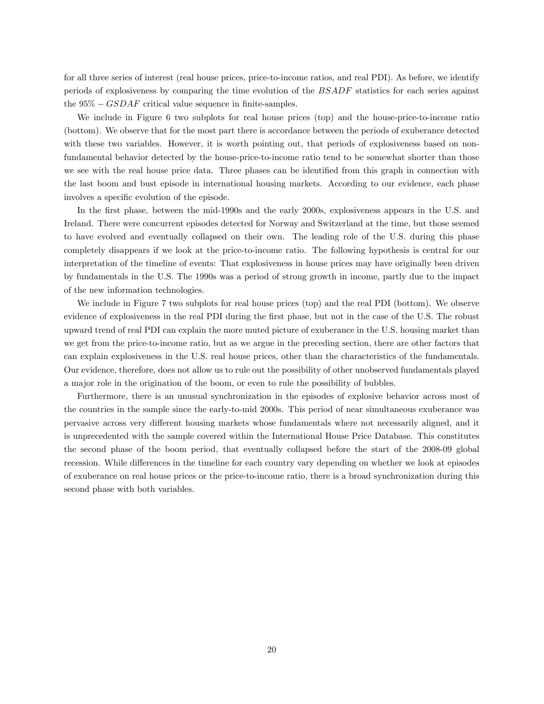for all three series of interest (real house prices, price-to-income ratios, and real PDI). As before, we identify periods of explosiveness by comparing the time evolution of the BSADF statistics for each series against the  $95\% - GSDAF$  critical value sequence in finite-samples.

We include in Figure 6 two subplots for real house prices (top) and the house-price-to-income ratio (bottom). We observe that for the most part there is accordance between the periods of exuberance detected with these two variables. However, it is worth pointing out, that periods of explosiveness based on nonfundamental behavior detected by the house-price-to-income ratio tend to be somewhat shorter than those we see with the real house price data. Three phases can be identified from this graph in connection with the last boom and bust episode in international housing markets. According to our evidence, each phase involves a specific evolution of the episode.

In the first phase, between the mid-1990s and the early 2000s, explosiveness appears in the U.S. and Ireland. There were concurrent episodes detected for Norway and Switzerland at the time, but those seemed to have evolved and eventually collapsed on their own. The leading role of the U.S. during this phase completely disappears if we look at the price-to-income ratio. The following hypothesis is central for our interpretation of the timeline of events: That explosiveness in house prices may have originally been driven by fundamentals in the U.S. The 1990s was a period of strong growth in income, partly due to the impact of the new information technologies.

We include in Figure 7 two subplots for real house prices (top) and the real PDI (bottom). We observe evidence of explosiveness in the real PDI during the first phase, but not in the case of the U.S. The robust upward trend of real PDI can explain the more muted picture of exuberance in the U.S. housing market than we get from the price-to-income ratio, but as we argue in the preceding section, there are other factors that can explain explosiveness in the U.S. real house prices, other than the characteristics of the fundamentals. Our evidence, therefore, does not allow us to rule out the possibility of other unobserved fundamentals played a major role in the origination of the boom, or even to rule the possibility of bubbles.

Furthermore, there is an unusual synchronization in the episodes of explosive behavior across most of the countries in the sample since the early-to-mid 2000s. This period of near simultaneous exuberance was pervasive across very different housing markets whose fundamentals where not necessarily aligned, and it is unprecedented with the sample covered within the International House Price Database. This constitutes the second phase of the boom period, that eventually collapsed before the start of the 2008-09 global recession. While differences in the timeline for each country vary depending on whether we look at episodes of exuberance on real house prices or the price-to-income ratio, there is a broad synchronization during this second phase with both variables.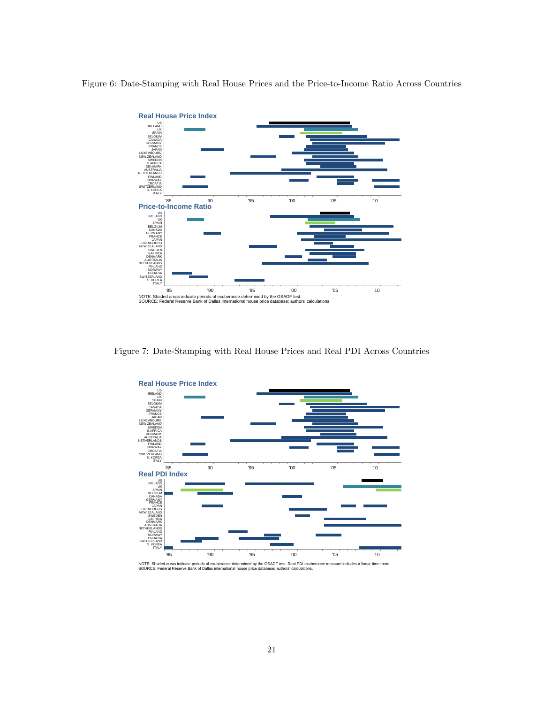Figure 6: Date-Stamping with Real House Prices and the Price-to-Income Ratio Across Countries



Figure 7: Date-Stamping with Real House Prices and Real PDI Across Countries



NOTE: Shaded areas indicate periods of exuberance determined by the GSADF test. Real PDI exuberance measure includes a linear time trend.<br>SOURCE: Federal Reserve Bank of Dallas international house price database; authors'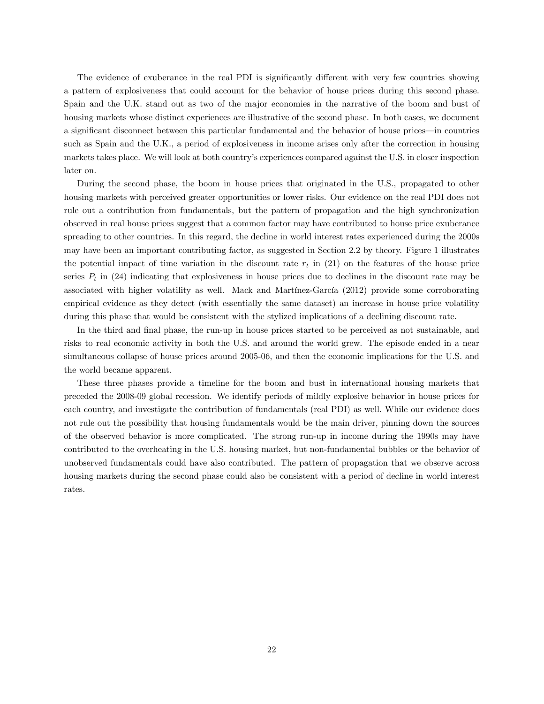The evidence of exuberance in the real PDI is significantly different with very few countries showing a pattern of explosiveness that could account for the behavior of house prices during this second phase. Spain and the U.K. stand out as two of the major economies in the narrative of the boom and bust of housing markets whose distinct experiences are illustrative of the second phase. In both cases, we document a significant disconnect between this particular fundamental and the behavior of house prices—in countries such as Spain and the U.K., a period of explosiveness in income arises only after the correction in housing markets takes place. We will look at both countryís experiences compared against the U.S. in closer inspection later on.

During the second phase, the boom in house prices that originated in the U.S., propagated to other housing markets with perceived greater opportunities or lower risks. Our evidence on the real PDI does not rule out a contribution from fundamentals, but the pattern of propagation and the high synchronization observed in real house prices suggest that a common factor may have contributed to house price exuberance spreading to other countries. In this regard, the decline in world interest rates experienced during the 2000s may have been an important contributing factor, as suggested in Section 2.2 by theory. Figure 1 illustrates the potential impact of time variation in the discount rate  $r_t$  in (21) on the features of the house price series  $P_t$  in (24) indicating that explosiveness in house prices due to declines in the discount rate may be associated with higher volatility as well. Mack and Martínez-García (2012) provide some corroborating empirical evidence as they detect (with essentially the same dataset) an increase in house price volatility during this phase that would be consistent with the stylized implications of a declining discount rate.

In the third and final phase, the run-up in house prices started to be perceived as not sustainable, and risks to real economic activity in both the U.S. and around the world grew. The episode ended in a near simultaneous collapse of house prices around 2005-06, and then the economic implications for the U.S. and the world became apparent.

These three phases provide a timeline for the boom and bust in international housing markets that preceded the 2008-09 global recession. We identify periods of mildly explosive behavior in house prices for each country, and investigate the contribution of fundamentals (real PDI) as well. While our evidence does not rule out the possibility that housing fundamentals would be the main driver, pinning down the sources of the observed behavior is more complicated. The strong run-up in income during the 1990s may have contributed to the overheating in the U.S. housing market, but non-fundamental bubbles or the behavior of unobserved fundamentals could have also contributed. The pattern of propagation that we observe across housing markets during the second phase could also be consistent with a period of decline in world interest rates.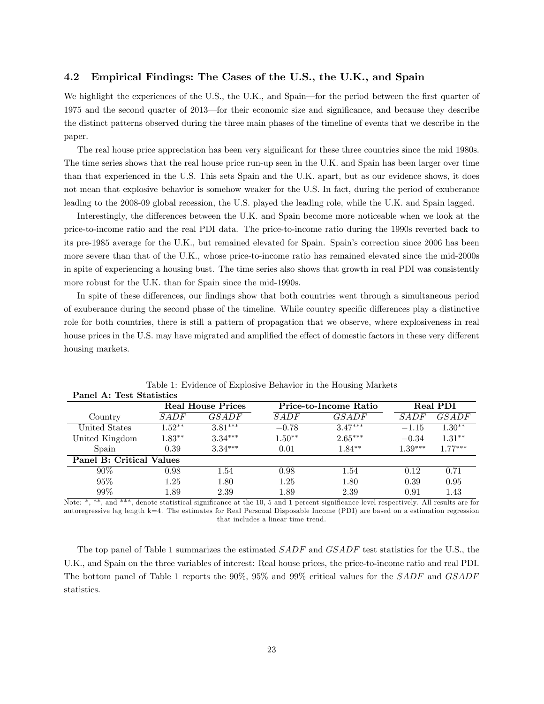#### 4.2 Empirical Findings: The Cases of the U.S., the U.K., and Spain

We highlight the experiences of the U.S., the U.K., and Spain—for the period between the first quarter of 1975 and the second quarter of 2013—for their economic size and significance, and because they describe the distinct patterns observed during the three main phases of the timeline of events that we describe in the paper.

The real house price appreciation has been very significant for these three countries since the mid 1980s. The time series shows that the real house price run-up seen in the U.K. and Spain has been larger over time than that experienced in the U.S. This sets Spain and the U.K. apart, but as our evidence shows, it does not mean that explosive behavior is somehow weaker for the U.S. In fact, during the period of exuberance leading to the 2008-09 global recession, the U.S. played the leading role, while the U.K. and Spain lagged.

Interestingly, the differences between the U.K. and Spain become more noticeable when we look at the price-to-income ratio and the real PDI data. The price-to-income ratio during the 1990s reverted back to its pre-1985 average for the U.K., but remained elevated for Spain. Spain's correction since 2006 has been more severe than that of the U.K., whose price-to-income ratio has remained elevated since the mid-2000s in spite of experiencing a housing bust. The time series also shows that growth in real PDI was consistently more robust for the U.K. than for Spain since the mid-1990s.

In spite of these differences, our findings show that both countries went through a simultaneous period of exuberance during the second phase of the timeline. While country specific differences play a distinctive role for both countries, there is still a pattern of propagation that we observe, where explosiveness in real house prices in the U.S. may have migrated and amplified the effect of domestic factors in these very different housing markets.

|                          |          | <b>Real House Prices</b> |          | Price-to-Income Ratio |             | <b>Real PDI</b> |
|--------------------------|----------|--------------------------|----------|-----------------------|-------------|-----------------|
| Country                  | SADE     | GSADE                    | SADE     | <i>GSADF</i>          | <i>SADF</i> | GSADF           |
| United States            | $1.52**$ | $3.81***$                | $-0.78$  | $3.47***$             | $-1.15$     | $1.30**$        |
| United Kingdom           | $1.83**$ | $3.34***$                | $1.50**$ | $2.65***$             | $-0.34$     | $1.31**$        |
| Spain                    | 0.39     | $3.34***$                | 0.01     | $1.84**$              | $1.39***$   | $1.77***$       |
| Panel B: Critical Values |          |                          |          |                       |             |                 |
| 90%                      | 0.98     | 1.54                     | 0.98     | 1.54                  | 0.12        | 0.71            |
| 95%                      | 1.25     | 1.80                     | 1.25     | 1.80                  | 0.39        | 0.95            |
| 99%                      | 1.89     | 2.39                     | 1.89     | 2.39                  | 0.91        | 1.43            |

Table 1: Evidence of Explosive Behavior in the Housing Markets Panel A: Test Statistics

Note: \*, \*\*, and \*\*\*, denote statistical significance at the 10, 5 and 1 percent significance level respectively. All results are for autoregressive lag length k=4. The estimates for Real Personal Disposable Income (PDI) are based on a estimation regression that includes a linear time trend.

The top panel of Table 1 summarizes the estimated *SADF* and *GSADF* test statistics for the U.S., the U.K., and Spain on the three variables of interest: Real house prices, the price-to-income ratio and real PDI. The bottom panel of Table 1 reports the 90%, 95% and 99% critical values for the SADF and GSADF statistics.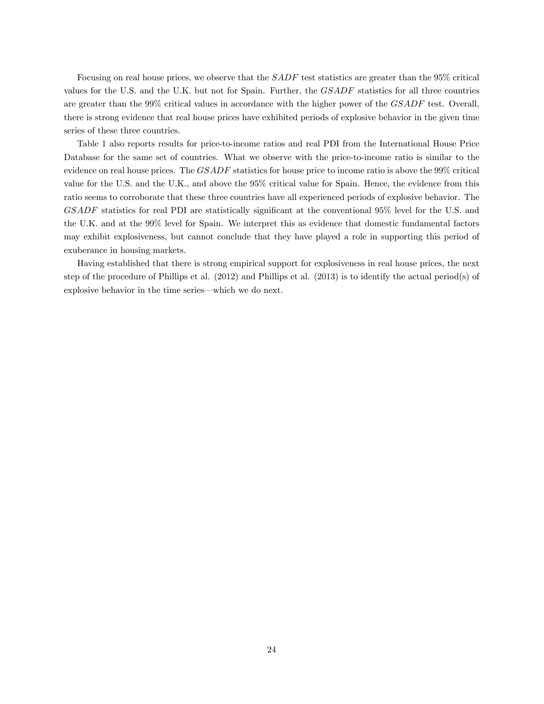Focusing on real house prices, we observe that the SADF test statistics are greater than the 95% critical values for the U.S. and the U.K. but not for Spain. Further, the GSADF statistics for all three countries are greater than the 99% critical values in accordance with the higher power of the GSADF test. Overall, there is strong evidence that real house prices have exhibited periods of explosive behavior in the given time series of these three countries.

Table 1 also reports results for price-to-income ratios and real PDI from the International House Price Database for the same set of countries. What we observe with the price-to-income ratio is similar to the evidence on real house prices. The GSADF statistics for house price to income ratio is above the 99% critical value for the U.S. and the U.K., and above the 95% critical value for Spain. Hence, the evidence from this ratio seems to corroborate that these three countries have all experienced periods of explosive behavior. The GSADF statistics for real PDI are statistically significant at the conventional 95% level for the U.S. and the U.K. and at the 99% level for Spain. We interpret this as evidence that domestic fundamental factors may exhibit explosiveness, but cannot conclude that they have played a role in supporting this period of exuberance in housing markets.

Having established that there is strong empirical support for explosiveness in real house prices, the next step of the procedure of Phillips et al. (2012) and Phillips et al. (2013) is to identify the actual period(s) of explosive behavior in the time series—which we do next.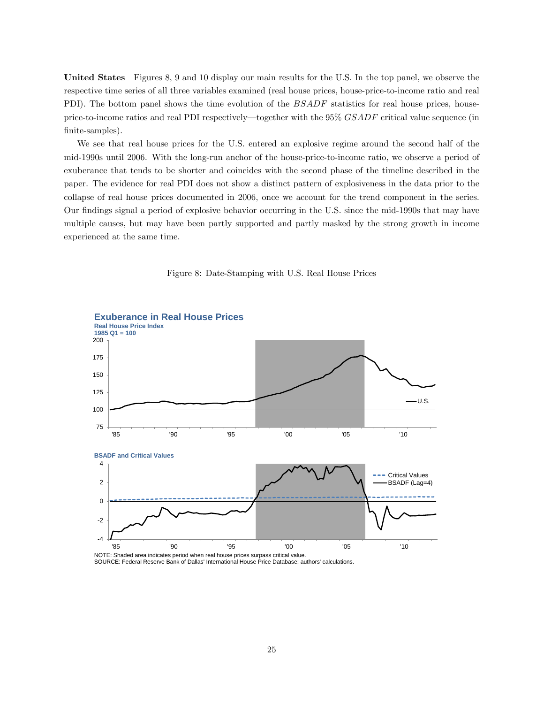United States Figures 8, 9 and 10 display our main results for the U.S. In the top panel, we observe the respective time series of all three variables examined (real house prices, house-price-to-income ratio and real PDI). The bottom panel shows the time evolution of the *BSADF* statistics for real house prices, houseprice-to-income ratios and real PDI respectively—together with the  $95\%$   $GSADF$  critical value sequence (in finite-samples).

We see that real house prices for the U.S. entered an explosive regime around the second half of the mid-1990s until 2006. With the long-run anchor of the house-price-to-income ratio, we observe a period of exuberance that tends to be shorter and coincides with the second phase of the timeline described in the paper. The evidence for real PDI does not show a distinct pattern of explosiveness in the data prior to the collapse of real house prices documented in 2006, once we account for the trend component in the series. Our Öndings signal a period of explosive behavior occurring in the U.S. since the mid-1990s that may have multiple causes, but may have been partly supported and partly masked by the strong growth in income experienced at the same time.





SOURCE: Federal Reserve Bank of Dallas' International House Price Database; authors' calculations.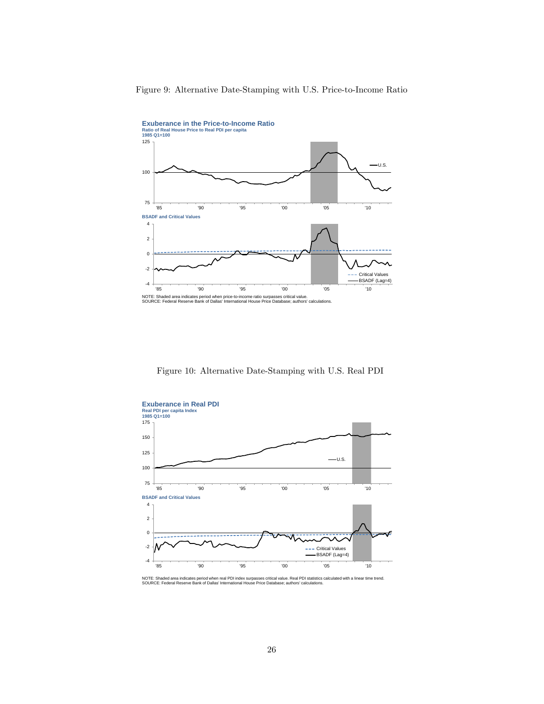

Figure 9: Alternative Date-Stamping with U.S. Price-to-Income Ratio

Figure 10: Alternative Date-Stamping with U.S. Real PDI



NOTE: Shaded area indicates period when real PDI index surpasses critical value. Real PDI statistics calculated with a linear time trend.<br>SOURCE: Federal Reserve Bank of Dallas' International House Price Database; authors'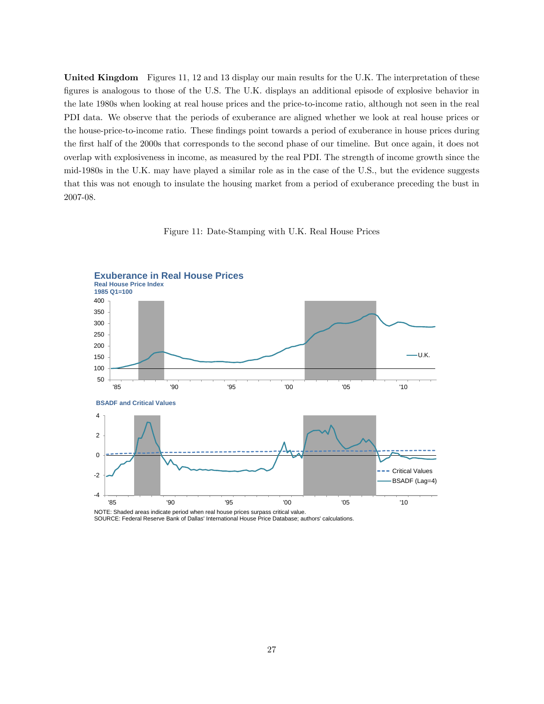United Kingdom Figures 11, 12 and 13 display our main results for the U.K. The interpretation of these Ögures is analogous to those of the U.S. The U.K. displays an additional episode of explosive behavior in the late 1980s when looking at real house prices and the price-to-income ratio, although not seen in the real PDI data. We observe that the periods of exuberance are aligned whether we look at real house prices or the house-price-to-income ratio. These findings point towards a period of exuberance in house prices during the Örst half of the 2000s that corresponds to the second phase of our timeline. But once again, it does not overlap with explosiveness in income, as measured by the real PDI. The strength of income growth since the mid-1980s in the U.K. may have played a similar role as in the case of the U.S., but the evidence suggests that this was not enough to insulate the housing market from a period of exuberance preceding the bust in 2007-08.





NOTE: Shaded areas indicate period when real house prices surpass critical value. SOURCE: Federal Reserve Bank of Dallas' International House Price Database; authors' calculations.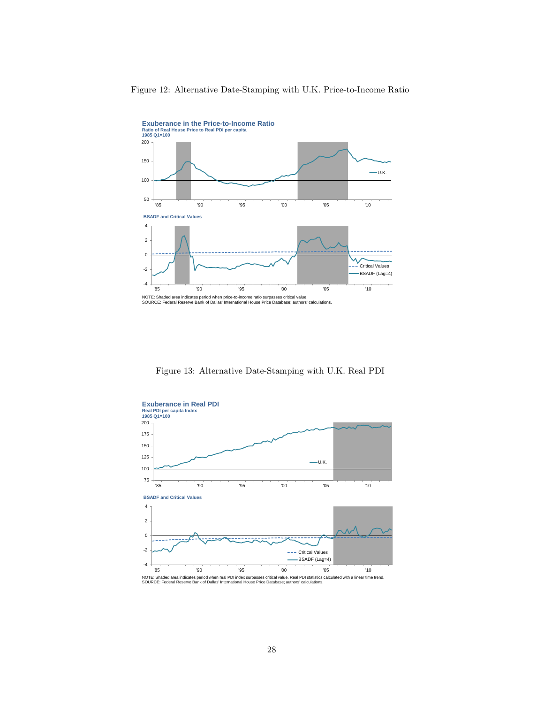

#### Figure 12: Alternative Date-Stamping with U.K. Price-to-Income Ratio

Figure 13: Alternative Date-Stamping with U.K. Real PDI

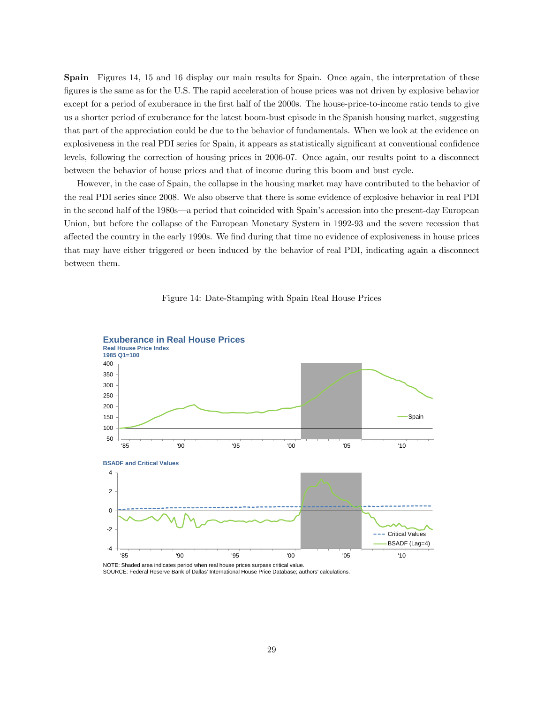Spain Figures 14, 15 and 16 display our main results for Spain. Once again, the interpretation of these figures is the same as for the U.S. The rapid acceleration of house prices was not driven by explosive behavior except for a period of exuberance in the first half of the 2000s. The house-price-to-income ratio tends to give us a shorter period of exuberance for the latest boom-bust episode in the Spanish housing market, suggesting that part of the appreciation could be due to the behavior of fundamentals. When we look at the evidence on explosiveness in the real PDI series for Spain, it appears as statistically significant at conventional confidence levels, following the correction of housing prices in 2006-07. Once again, our results point to a disconnect between the behavior of house prices and that of income during this boom and bust cycle.

However, in the case of Spain, the collapse in the housing market may have contributed to the behavior of the real PDI series since 2008. We also observe that there is some evidence of explosive behavior in real PDI in the second half of the 1980s—a period that coincided with Spain's accession into the present-day European Union, but before the collapse of the European Monetary System in 1992-93 and the severe recession that affected the country in the early 1990s. We find during that time no evidence of explosiveness in house prices that may have either triggered or been induced by the behavior of real PDI, indicating again a disconnect between them.





SOURCE: Federal Reserve Bank of Dallas' International House Price Database; authors' calculations.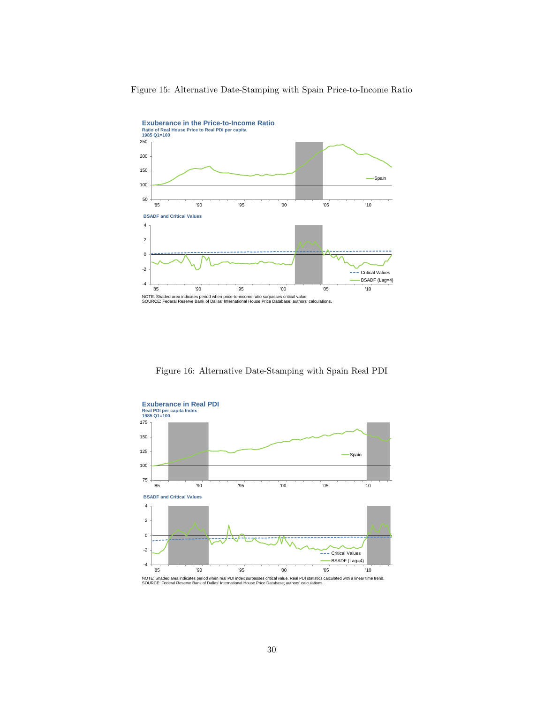

Figure 15: Alternative Date-Stamping with Spain Price-to-Income Ratio

Figure 16: Alternative Date-Stamping with Spain Real PDI



NOTE: Shaded area indicates period when real PDI index surpasses critical value. Real PDI statistics calculated with a linear time trend.<br>SOURCE: Federal Reserve Bank of Dallas' International House Price Database; authors'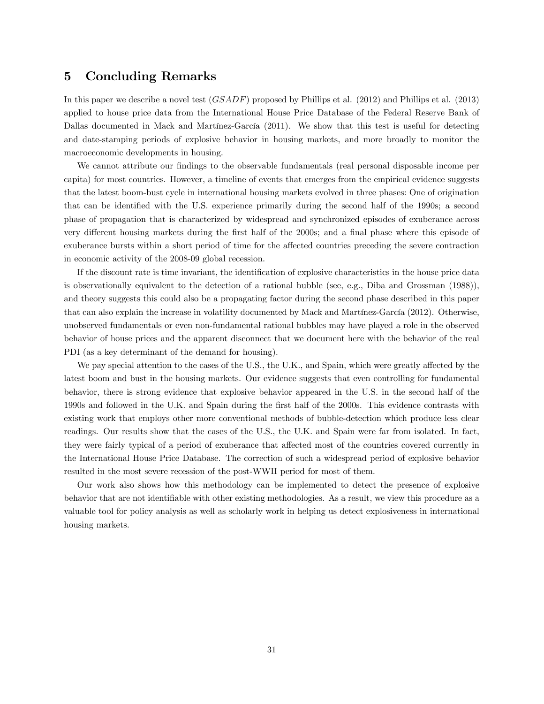### 5 Concluding Remarks

In this paper we describe a novel test (GSADF) proposed by Phillips et al. (2012) and Phillips et al. (2013) applied to house price data from the International House Price Database of the Federal Reserve Bank of Dallas documented in Mack and Martínez-García (2011). We show that this test is useful for detecting and date-stamping periods of explosive behavior in housing markets, and more broadly to monitor the macroeconomic developments in housing.

We cannot attribute our findings to the observable fundamentals (real personal disposable income per capita) for most countries. However, a timeline of events that emerges from the empirical evidence suggests that the latest boom-bust cycle in international housing markets evolved in three phases: One of origination that can be identified with the U.S. experience primarily during the second half of the 1990s; a second phase of propagation that is characterized by widespread and synchronized episodes of exuberance across very different housing markets during the first half of the 2000s; and a final phase where this episode of exuberance bursts within a short period of time for the affected countries preceding the severe contraction in economic activity of the 2008-09 global recession.

If the discount rate is time invariant, the identification of explosive characteristics in the house price data is observationally equivalent to the detection of a rational bubble (see, e.g., Diba and Grossman (1988)), and theory suggests this could also be a propagating factor during the second phase described in this paper that can also explain the increase in volatility documented by Mack and Martínez-García (2012). Otherwise, unobserved fundamentals or even non-fundamental rational bubbles may have played a role in the observed behavior of house prices and the apparent disconnect that we document here with the behavior of the real PDI (as a key determinant of the demand for housing).

We pay special attention to the cases of the U.S., the U.K., and Spain, which were greatly affected by the latest boom and bust in the housing markets. Our evidence suggests that even controlling for fundamental behavior, there is strong evidence that explosive behavior appeared in the U.S. in the second half of the 1990s and followed in the U.K. and Spain during the Örst half of the 2000s. This evidence contrasts with existing work that employs other more conventional methods of bubble-detection which produce less clear readings. Our results show that the cases of the U.S., the U.K. and Spain were far from isolated. In fact, they were fairly typical of a period of exuberance that affected most of the countries covered currently in the International House Price Database. The correction of such a widespread period of explosive behavior resulted in the most severe recession of the post-WWII period for most of them.

Our work also shows how this methodology can be implemented to detect the presence of explosive behavior that are not identifiable with other existing methodologies. As a result, we view this procedure as a valuable tool for policy analysis as well as scholarly work in helping us detect explosiveness in international housing markets.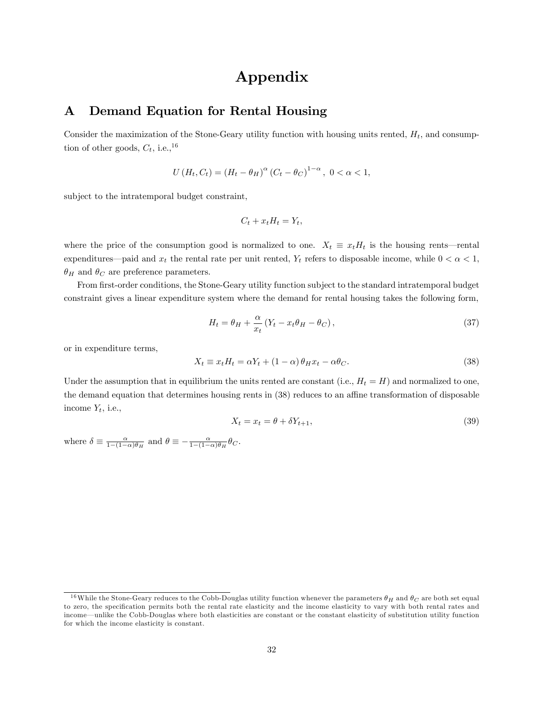# Appendix

# A Demand Equation for Rental Housing

Consider the maximization of the Stone-Geary utility function with housing units rented,  $H_t$ , and consumption of other goods,  $C_t$ , i.e.,<sup>16</sup>

$$
U(H_t, C_t) = (H_t - \theta_H)^{\alpha} (C_t - \theta_C)^{1-\alpha}, \ 0 < \alpha < 1,
$$

subject to the intratemporal budget constraint,

$$
C_t + x_t H_t = Y_t,
$$

where the price of the consumption good is normalized to one.  $X_t \equiv x_t H_t$  is the housing rents—rental expenditures—paid and  $x_t$  the rental rate per unit rented,  $Y_t$  refers to disposable income, while  $0 < \alpha < 1$ ,  $\theta_H$  and  $\theta_C$  are preference parameters.

From first-order conditions, the Stone-Geary utility function subject to the standard intratemporal budget constraint gives a linear expenditure system where the demand for rental housing takes the following form,

$$
H_t = \theta_H + \frac{\alpha}{x_t} \left( Y_t - x_t \theta_H - \theta_C \right), \tag{37}
$$

or in expenditure terms,

$$
X_t \equiv x_t H_t = \alpha Y_t + (1 - \alpha) \theta_H x_t - \alpha \theta_C. \tag{38}
$$

Under the assumption that in equilibrium the units rented are constant (i.e.,  $H_t = H$ ) and normalized to one, the demand equation that determines housing rents in (38) reduces to an affine transformation of disposable income  $Y_t$ , i.e.,

$$
X_t = x_t = \theta + \delta Y_{t+1},\tag{39}
$$

where  $\delta \equiv \frac{\alpha}{1-(1-\alpha)\theta_H}$  and  $\theta \equiv -\frac{\alpha}{1-(1-\alpha)\theta_H}\theta_C$ .

<sup>&</sup>lt;sup>16</sup>While the Stone-Geary reduces to the Cobb-Douglas utility function whenever the parameters  $\theta_H$  and  $\theta_C$  are both set equal to zero, the specification permits both the rental rate elasticity and the income elasticity to vary with both rental rates and income—unlike the Cobb-Douglas where both elasticities are constant or the constant elasticity of substitution utility function for which the income elasticity is constant.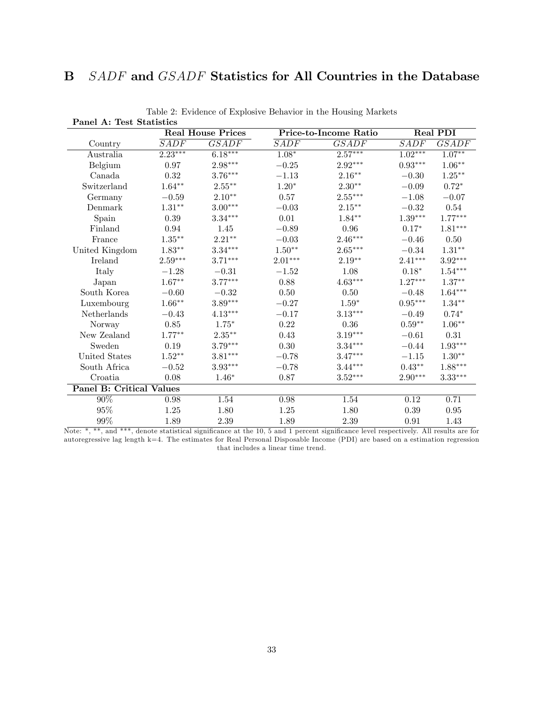# B SADF and GSADF Statistics for All Countries in the Database

|                                 |                    | <b>Real House Prices</b> | Price-to-Income Ratio |                       | Real PDI  |              |
|---------------------------------|--------------------|--------------------------|-----------------------|-----------------------|-----------|--------------|
| Country                         | $\overline{S ADF}$ | GSADE                    | SADE                  | <b>GSADF</b>          | SADF      | <b>GSADF</b> |
| Australia                       | $2.23***$          | $6.18***$                | $1.08*$               | $2.57***$             | $1.02***$ | $1.07**$     |
| Belgium                         | 0.97               | 2.98***                  | $-0.25$               | $2.92***$             | $0.93***$ | $1.06**$     |
| Canada                          | 0.32               | $3.76***$                | $-1.13$               | $2.16***$             | $-0.30$   | $1.25***$    |
| Switzerland                     | $1.64**$           | $2.55***$                | $1.20*$               | $2.30**$              | $-0.09$   | $0.72*$      |
| Germany                         | $-0.59$            | $2.10**$                 | 0.57                  | $2.55^{\ast\ast\ast}$ | $-1.08$   | $-0.07$      |
| Denmark                         | $1.31***$          | $3.00***$                | $-0.03$               | $2.15***$             | $-0.32$   | 0.54         |
| Spain                           | 0.39               | $3.34***$                | 0.01                  | $1.84**$              | $1.39***$ | $1.77***$    |
| Finland                         | 0.94               | 1.45                     | $-0.89$               | 0.96                  | $0.17*$   | $1.81***$    |
| France                          | $1.35^{\ast\ast}$  | $2.21***$                | $-0.03$               | $2.46***$             | $-0.46$   | 0.50         |
| United Kingdom                  | $1.83**$           | $3.34***$                | $1.50**$              | $2.65***$             | $-0.34$   | $1.31**$     |
| Ireland                         | $2.59***$          | $3.71***$                | $2.01***$             | $2.19**$              | $2.41***$ | $3.92***$    |
| Italy                           | $-1.28$            | $-0.31$                  | $-1.52$               | 1.08                  | $0.18*$   | $1.54***$    |
| Japan                           | $1.67**$           | $3.77***$                | 0.88                  | $4.63***$             | $1.27***$ | $1.37***$    |
| South Korea                     | $-0.60$            | $-0.32$                  | 0.50                  | 0.50                  | $-0.48$   | $1.64***$    |
| Luxembourg                      | $1.66***$          | $3.89***$                | $-0.27$               | $1.59*$               | $0.95***$ | $1.34***$    |
| <b>Netherlands</b>              | $-0.43$            | $4.13***$                | $-0.17$               | $3.13***$             | $-0.49$   | $0.74*$      |
| Norway                          | 0.85               | $1.75*$                  | 0.22                  | 0.36                  | $0.59**$  | $1.06**$     |
| New Zealand                     | $1.77***$          | $2.35***$                | 0.43                  | $3.19***$             | $-0.61$   | 0.31         |
| Sweden                          | 0.19               | $3.79***$                | 0.30                  | $3.34***$             | $-0.44$   | $1.93***$    |
| United States                   | $1.52**$           | $3.81***$                | $-0.78$               | $3.47***$             | $-1.15$   | $1.30**$     |
| South Africa                    | $-0.52$            | $3.93***$                | $-0.78$               | $3.44***$             | $0.43**$  | $1.88***$    |
| Croatia                         | 0.08               | $1.46*$                  | 0.87                  | $3.52***$             | $2.90***$ | $3.33***$    |
| <b>Panel B: Critical Values</b> |                    |                          |                       |                       |           |              |
| $90\%$                          | 0.98               | 1.54                     | 0.98                  | 1.54                  | 0.12      | 0.71         |
| 95%                             | 1.25               | 1.80                     | 1.25                  | 1.80                  | 0.39      | 0.95         |
| 99%                             | 1.89               | 2.39                     | 1.89                  | 2.39                  | 0.91      | 1.43         |

Table 2: Evidence of Explosive Behavior in the Housing Markets Panel A: Test Statistics

Note: \*, \*\*, and \*\*\*, denote statistical significance at the 10, 5 and 1 percent significance level respectively. All results are for autoregressive lag length k=4. The estimates for Real Personal Disposable Income (PDI) are based on a estimation regression that includes a linear time trend.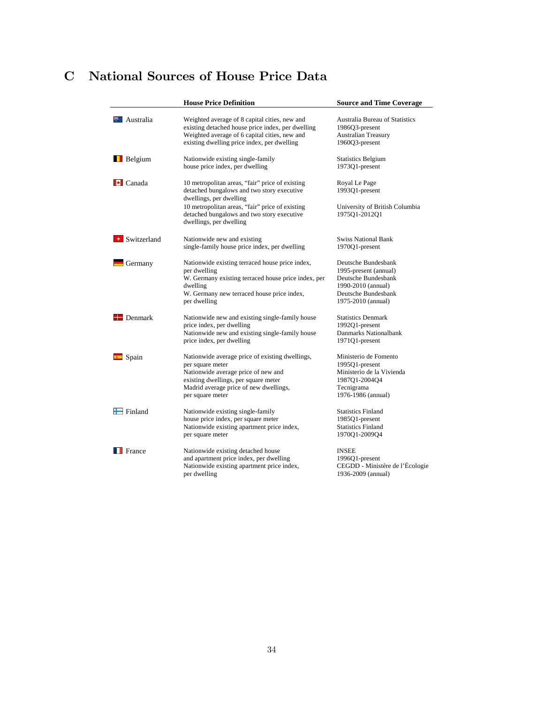# C National Sources of House Price Data

|                               | <b>House Price Definition</b>                                                                                                                                                                                    | <b>Source and Time Coverage</b>                                                                                                        |
|-------------------------------|------------------------------------------------------------------------------------------------------------------------------------------------------------------------------------------------------------------|----------------------------------------------------------------------------------------------------------------------------------------|
| $\ddagger$ Australia          | Weighted average of 8 capital cities, new and<br>existing detached house price index, per dwelling<br>Weighted average of 6 capital cities, new and<br>existing dwelling price index, per dwelling               | <b>Australia Bureau of Statistics</b><br>1986Q3-present<br><b>Australian Treasury</b><br>1960Q3-present                                |
| <b>B</b> elgium               | Nationwide existing single-family<br>house price index, per dwelling                                                                                                                                             | <b>Statistics Belgium</b><br>1973Q1-present                                                                                            |
| $\left  \cdot \right $ Canada | 10 metropolitan areas, "fair" price of existing<br>detached bungalows and two story executive<br>dwellings, per dwelling                                                                                         | Royal Le Page<br>1993Q1-present                                                                                                        |
|                               | 10 metropolitan areas, "fair" price of existing<br>detached bungalows and two story executive<br>dwellings, per dwelling                                                                                         | University of British Columbia<br>1975Q1-2012Q1                                                                                        |
| <b>+</b> Switzerland          | Nationwide new and existing<br>single-family house price index, per dwelling                                                                                                                                     | <b>Swiss National Bank</b><br>1970Q1-present                                                                                           |
| Germany                       | Nationwide existing terraced house price index,<br>per dwelling<br>W. Germany existing terraced house price index, per<br>dwelling<br>W. Germany new terraced house price index,<br>per dwelling                 | Deutsche Bundesbank<br>1995-present (annual)<br>Deutsche Bundesbank<br>1990-2010 (annual)<br>Deutsche Bundesbank<br>1975-2010 (annual) |
| $\blacksquare$ Denmark        | Nationwide new and existing single-family house<br>price index, per dwelling<br>Nationwide new and existing single-family house<br>price index, per dwelling                                                     | <b>Statistics Denmark</b><br>1992O1-present<br>Danmarks Nationalbank<br>1971Q1-present                                                 |
| Spain                         | Nationwide average price of existing dwellings,<br>per square meter<br>Nationwide average price of new and<br>existing dwellings, per square meter<br>Madrid average price of new dwellings,<br>per square meter | Ministerio de Fomento<br>1995Q1-present<br>Ministerio de la Vivienda<br>1987Q1-2004Q4<br>Tecnigrama<br>1976-1986 (annual)              |
| $\blacksquare$ Finland        | Nationwide existing single-family<br>house price index, per square meter<br>Nationwide existing apartment price index,<br>per square meter                                                                       | <b>Statistics Finland</b><br>1985Q1-present<br><b>Statistics Finland</b><br>1970Q1-2009Q4                                              |
| France                        | Nationwide existing detached house<br>and apartment price index, per dwelling<br>Nationwide existing apartment price index,<br>per dwelling                                                                      | <b>INSEE</b><br>1996Q1-present<br>CEGDD - Ministère de l'Écologie<br>1936-2009 (annual)                                                |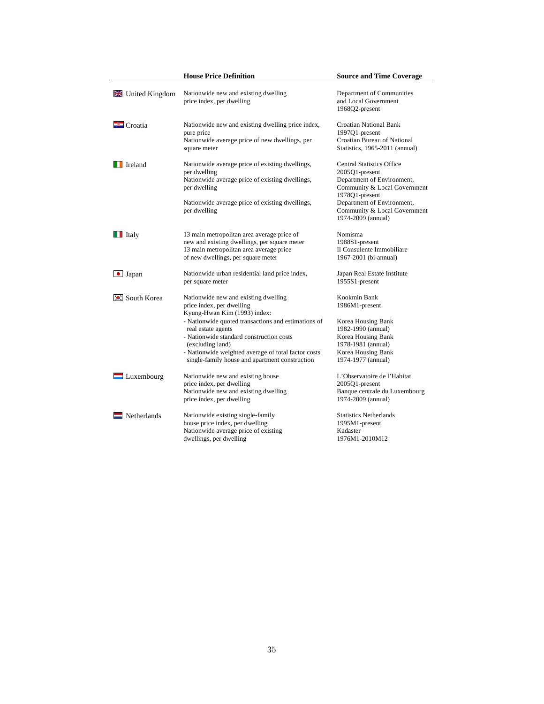|                               | <b>House Price Definition</b>                                                                                                                                                                                                                                                                                                                           | <b>Source and Time Coverage</b>                                                                                                                                    |
|-------------------------------|---------------------------------------------------------------------------------------------------------------------------------------------------------------------------------------------------------------------------------------------------------------------------------------------------------------------------------------------------------|--------------------------------------------------------------------------------------------------------------------------------------------------------------------|
| <b>EXECUTE United Kingdom</b> | Nationwide new and existing dwelling<br>price index, per dwelling                                                                                                                                                                                                                                                                                       | Department of Communities<br>and Local Government<br>1968Q2-present                                                                                                |
| $\Box$ Croatia                | Nationwide new and existing dwelling price index,<br>pure price<br>Nationwide average price of new dwellings, per<br>square meter                                                                                                                                                                                                                       | <b>Croatian National Bank</b><br>1997Q1-present<br>Croatian Bureau of National<br>Statistics, 1965-2011 (annual)                                                   |
| Ireland                       | Nationwide average price of existing dwellings,<br>per dwelling<br>Nationwide average price of existing dwellings,<br>per dwelling                                                                                                                                                                                                                      | <b>Central Statistics Office</b><br>2005Q1-present<br>Department of Environment,<br>Community & Local Government<br>1978Q1-present                                 |
|                               | Nationwide average price of existing dwellings,<br>per dwelling                                                                                                                                                                                                                                                                                         | Department of Environment,<br>Community & Local Government<br>1974-2009 (annual)                                                                                   |
| $\blacksquare$ Italy          | 13 main metropolitan area average price of<br>new and existing dwellings, per square meter<br>13 main metropolitan area average price<br>of new dwellings, per square meter                                                                                                                                                                             | Nomisma<br>1988S1-present<br>Il Consulente Immobiliare<br>1967-2001 (bi-annual)                                                                                    |
| $\bullet$ Japan               | Nationwide urban residential land price index,<br>per square meter                                                                                                                                                                                                                                                                                      | Japan Real Estate Institute<br>1955S1-present                                                                                                                      |
| <b>C</b> : South Korea        | Nationwide new and existing dwelling<br>price index, per dwelling<br>Kyung-Hwan Kim (1993) index:<br>- Nationwide quoted transactions and estimations of<br>real estate agents<br>- Nationwide standard construction costs<br>(excluding land)<br>- Nationwide weighted average of total factor costs<br>single-family house and apartment construction | Kookmin Bank<br>1986M1-present<br>Korea Housing Bank<br>1982-1990 (annual)<br>Korea Housing Bank<br>1978-1981 (annual)<br>Korea Housing Bank<br>1974-1977 (annual) |
| $\blacksquare$ Luxembourg     | Nationwide new and existing house<br>price index, per dwelling<br>Nationwide new and existing dwelling<br>price index, per dwelling                                                                                                                                                                                                                     | L'Observatoire de l'Habitat<br>2005Q1-present<br>Banque centrale du Luxembourg<br>1974-2009 (annual)                                                               |
| $\blacksquare$ Netherlands    | Nationwide existing single-family<br>house price index, per dwelling<br>Nationwide average price of existing<br>dwellings, per dwelling                                                                                                                                                                                                                 | <b>Statistics Netherlands</b><br>1995M1-present<br>Kadaster<br>1976M1-2010M12                                                                                      |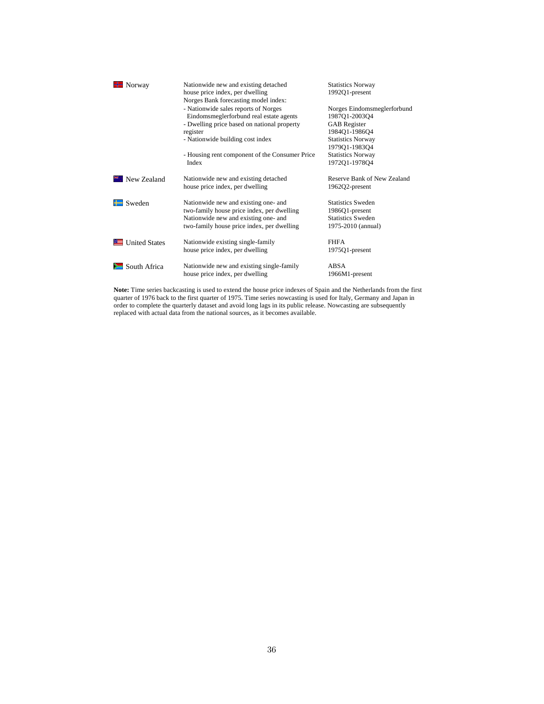| Norway                 | Nationwide new and existing detached<br>house price index, per dwelling<br>Norges Bank forecasting model index: | <b>Statistics Norway</b><br>1992Q1-present   |  |
|------------------------|-----------------------------------------------------------------------------------------------------------------|----------------------------------------------|--|
|                        | - Nationwide sales reports of Norges<br>Eindomsmeglerforbund real estate agents                                 | Norges Eindomsmeglerforbund<br>1987Q1-2003Q4 |  |
|                        | - Dwelling price based on national property                                                                     | <b>GAB</b> Register                          |  |
|                        | register                                                                                                        | 1984Q1-1986Q4                                |  |
|                        | - Nationwide building cost index                                                                                | <b>Statistics Norway</b>                     |  |
|                        |                                                                                                                 | 1979Q1-1983Q4                                |  |
|                        | - Housing rent component of the Consumer Price                                                                  | <b>Statistics Norway</b>                     |  |
|                        | Index                                                                                                           | 1972Q1-1978Q4                                |  |
| <b>XXX</b> New Zealand | Nationwide new and existing detached                                                                            | Reserve Bank of New Zealand                  |  |
|                        | house price index, per dwelling                                                                                 | 1962Q2-present                               |  |
| Sweden                 | Nationwide new and existing one- and                                                                            | <b>Statistics Sweden</b>                     |  |
|                        | two-family house price index, per dwelling                                                                      | 1986Q1-present                               |  |
|                        | Nationwide new and existing one- and                                                                            | <b>Statistics Sweden</b>                     |  |
|                        | two-family house price index, per dwelling                                                                      | 1975-2010 (annual)                           |  |
| United States          | Nationwide existing single-family                                                                               | <b>FHFA</b>                                  |  |
|                        | house price index, per dwelling                                                                                 | 1975Q1-present                               |  |
| South Africa           | Nationwide new and existing single-family                                                                       | ABSA                                         |  |
|                        | house price index, per dwelling                                                                                 | 1966M1-present                               |  |

**Note:** Time series backcasting is used to extend the house price indexes of Spain and the Netherlands from the first quarter of 1976 back to the first quarter of 1975. Time series nowcasting is used for Italy, Germany and Japan in order to complete the quarterly dataset and avoid long lags in its public release. Nowcasting are subsequently replaced with actual data from the national sources, as it becomes available.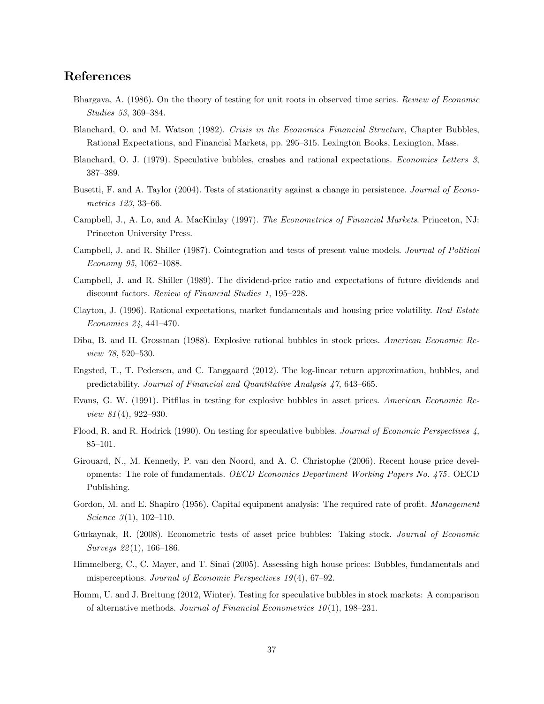### References

- Bhargava, A. (1986). On the theory of testing for unit roots in observed time series. Review of Economic Studies 53, 369-384.
- Blanchard, O. and M. Watson (1982). Crisis in the Economics Financial Structure, Chapter Bubbles, Rational Expectations, and Financial Markets, pp. 295–315. Lexington Books, Lexington, Mass.
- Blanchard, O. J. (1979). Speculative bubbles, crashes and rational expectations. Economics Letters 3, 387-389.
- Busetti, F. and A. Taylor (2004). Tests of stationarity against a change in persistence. Journal of Econometrics  $123, 33-66$ .
- Campbell, J., A. Lo, and A. MacKinlay (1997). The Econometrics of Financial Markets. Princeton, NJ: Princeton University Press.
- Campbell, J. and R. Shiller (1987). Cointegration and tests of present value models. Journal of Political  $Economy 95, 1062-1088.$
- Campbell, J. and R. Shiller (1989). The dividend-price ratio and expectations of future dividends and discount factors. Review of Financial Studies 1, 195–228.
- Clayton, J. (1996). Rational expectations, market fundamentals and housing price volatility. Real Estate Economics 24, 441-470.
- Diba, B. and H. Grossman (1988). Explosive rational bubbles in stock prices. American Economic Re $view 78, 520 - 530.$
- Engsted, T., T. Pedersen, and C. Tanggaard (2012). The log-linear return approximation, bubbles, and predictability. Journal of Financial and Quantitative Analysis  $47,643-665$ .
- Evans, G. W. (1991). Pitfllas in testing for explosive bubbles in asset prices. American Economic Review  $81(4)$ , 922-930.
- Flood, R. and R. Hodrick (1990). On testing for speculative bubbles. Journal of Economic Perspectives 4,  $85 - 101.$
- Girouard, N., M. Kennedy, P. van den Noord, and A. C. Christophe (2006). Recent house price developments: The role of fundamentals. OECD Economics Department Working Papers No. 475 . OECD Publishing.
- Gordon, M. and E. Shapiro (1956). Capital equipment analysis: The required rate of profit. Management Science  $3(1)$ , 102-110.
- Gürkaynak, R. (2008). Econometric tests of asset price bubbles: Taking stock. Journal of Economic Surveys  $22(1)$ , 166–186.
- Himmelberg, C., C. Mayer, and T. Sinai (2005). Assessing high house prices: Bubbles, fundamentals and misperceptions. Journal of Economic Perspectives  $19(4)$ , 67-92.
- Homm, U. and J. Breitung (2012, Winter). Testing for speculative bubbles in stock markets: A comparison of alternative methods. Journal of Financial Econometrics  $10(1)$ , 198–231.